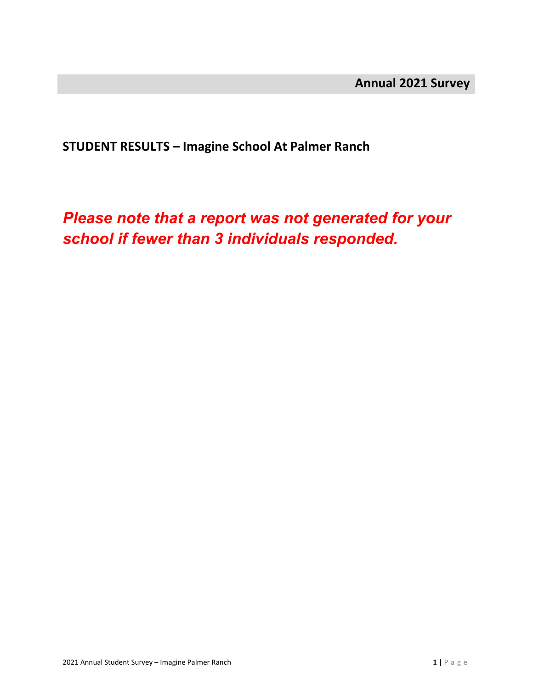**STUDENT RESULTS – Imagine School At Palmer Ranch**

*Please note that a report was not generated for your school if fewer than 3 individuals responded.*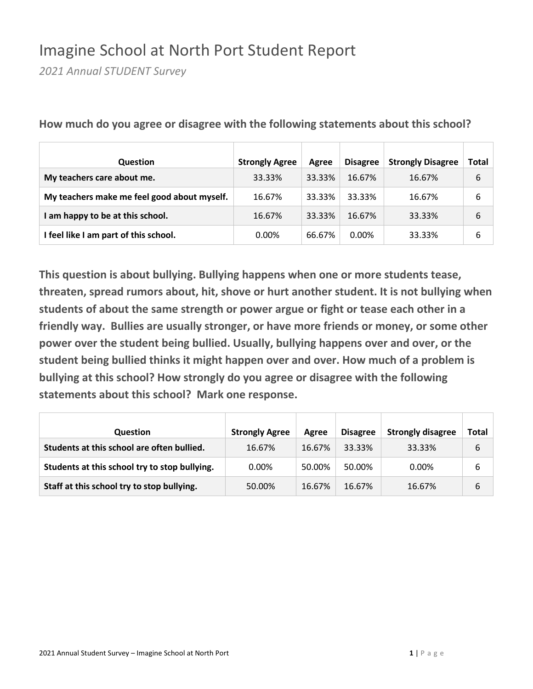### Imagine School at North Port Student Report

*2021 Annual STUDENT Survey*

| <b>Question</b>                             | <b>Strongly Agree</b> | Agree  | <b>Disagree</b> | <b>Strongly Disagree</b> | Total |
|---------------------------------------------|-----------------------|--------|-----------------|--------------------------|-------|
| My teachers care about me.                  | 33.33%                | 33.33% | 16.67%          | 16.67%                   | 6     |
| My teachers make me feel good about myself. | 16.67%                | 33.33% | 33.33%          | 16.67%                   | 6     |
| am happy to be at this school.              | 16.67%                | 33.33% | 16.67%          | 33.33%                   | 6     |
| I feel like I am part of this school.       | $0.00\%$              | 66.67% | $0.00\%$        | 33.33%                   | 6     |

**How much do you agree or disagree with the following statements about this school?**

| <b>Question</b>                               | <b>Strongly Agree</b> | Agree  | <b>Disagree</b> | <b>Strongly disagree</b> | Total |
|-----------------------------------------------|-----------------------|--------|-----------------|--------------------------|-------|
| Students at this school are often bullied.    | 16.67%                | 16.67% | 33.33%          | 33.33%                   | 6     |
| Students at this school try to stop bullying. | 0.00%                 | 50.00% | 50.00%          | $0.00\%$                 | 6     |
| Staff at this school try to stop bullying.    | 50.00%                | 16.67% | 16.67%          | 16.67%                   | 6     |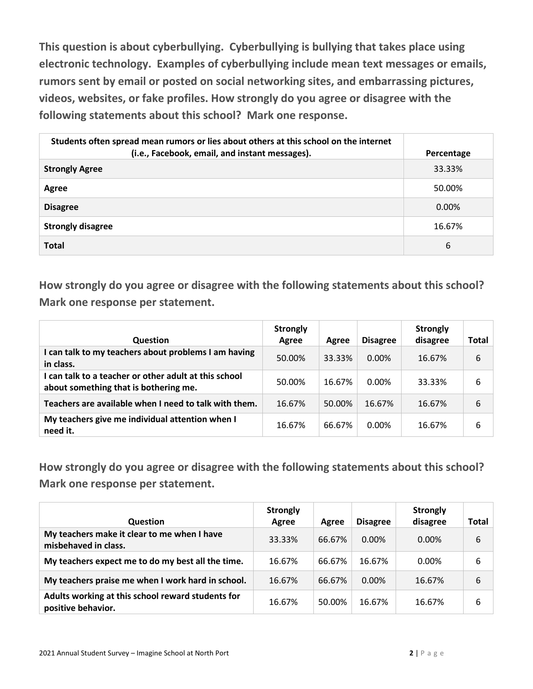**This question is about cyberbullying. Cyberbullying is bullying that takes place using electronic technology. Examples of cyberbullying include mean text messages or emails, rumors sent by email or posted on social networking sites, and embarrassing pictures, videos, websites, or fake profiles. How strongly do you agree or disagree with the following statements about this school? Mark one response.**

| Students often spread mean rumors or lies about others at this school on the internet<br>(i.e., Facebook, email, and instant messages). | Percentage |
|-----------------------------------------------------------------------------------------------------------------------------------------|------------|
| <b>Strongly Agree</b>                                                                                                                   | 33.33%     |
| Agree                                                                                                                                   | 50.00%     |
| <b>Disagree</b>                                                                                                                         | $0.00\%$   |
| <b>Strongly disagree</b>                                                                                                                | 16.67%     |
| <b>Total</b>                                                                                                                            | 6          |

**How strongly do you agree or disagree with the following statements about this school? Mark one response per statement.**

| <b>Question</b>                                                                                | <b>Strongly</b><br>Agree | Agree  | <b>Disagree</b> | <b>Strongly</b><br>disagree | Total |
|------------------------------------------------------------------------------------------------|--------------------------|--------|-----------------|-----------------------------|-------|
| I can talk to my teachers about problems I am having<br>in class.                              | 50.00%                   | 33.33% | $0.00\%$        | 16.67%                      | 6     |
| I can talk to a teacher or other adult at this school<br>about something that is bothering me. | 50.00%                   | 16.67% | 0.00%           | 33.33%                      | 6     |
| Teachers are available when I need to talk with them.                                          | 16.67%                   | 50.00% | 16.67%          | 16.67%                      | 6     |
| My teachers give me individual attention when I<br>need it.                                    | 16.67%                   | 66.67% | 0.00%           | 16.67%                      | 6     |

| <b>Question</b>                                                         | <b>Strongly</b><br>Agree | Agree  | <b>Disagree</b> | <b>Strongly</b><br>disagree | Total |
|-------------------------------------------------------------------------|--------------------------|--------|-----------------|-----------------------------|-------|
| My teachers make it clear to me when I have<br>misbehaved in class.     | 33.33%                   | 66.67% | $0.00\%$        | $0.00\%$                    | 6     |
| My teachers expect me to do my best all the time.                       | 16.67%                   | 66.67% | 16.67%          | $0.00\%$                    | 6     |
| My teachers praise me when I work hard in school.                       | 16.67%                   | 66.67% | $0.00\%$        | 16.67%                      | 6     |
| Adults working at this school reward students for<br>positive behavior. | 16.67%                   | 50.00% | 16.67%          | 16.67%                      | 6     |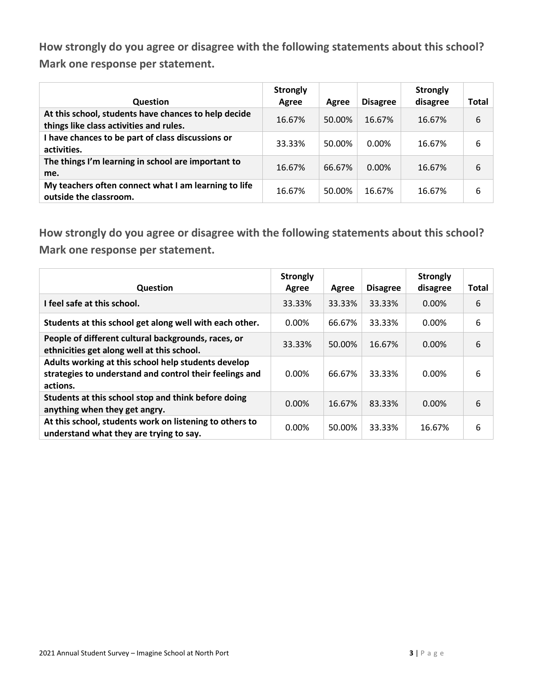| <b>Question</b>                                                                                 | <b>Strongly</b><br>Agree | Agree  | <b>Disagree</b> | <b>Strongly</b><br>disagree | Total |
|-------------------------------------------------------------------------------------------------|--------------------------|--------|-----------------|-----------------------------|-------|
| At this school, students have chances to help decide<br>things like class activities and rules. | 16.67%                   | 50.00% | 16.67%          | 16.67%                      | 6     |
| I have chances to be part of class discussions or<br>activities.                                | 33.33%                   | 50.00% | $0.00\%$        | 16.67%                      | 6     |
| The things I'm learning in school are important to<br>me.                                       | 16.67%                   | 66.67% | $0.00\%$        | 16.67%                      | 6     |
| My teachers often connect what I am learning to life<br>outside the classroom.                  | 16.67%                   | 50.00% | 16.67%          | 16.67%                      | 6     |

| <b>Question</b>                                                                                                            | <b>Strongly</b><br>Agree | Agree  | <b>Disagree</b> | <b>Strongly</b><br>disagree | <b>Total</b> |
|----------------------------------------------------------------------------------------------------------------------------|--------------------------|--------|-----------------|-----------------------------|--------------|
| I feel safe at this school.                                                                                                | 33.33%                   | 33.33% | 33.33%          | $0.00\%$                    | 6            |
| Students at this school get along well with each other.                                                                    | 0.00%                    | 66.67% | 33.33%          | 0.00%                       | 6            |
| People of different cultural backgrounds, races, or<br>ethnicities get along well at this school.                          | 33.33%                   | 50.00% | 16.67%          | 0.00%                       | 6            |
| Adults working at this school help students develop<br>strategies to understand and control their feelings and<br>actions. | 0.00%                    | 66.67% | 33.33%          | 0.00%                       | 6            |
| Students at this school stop and think before doing<br>anything when they get angry.                                       | 0.00%                    | 16.67% | 83.33%          | 0.00%                       | 6            |
| At this school, students work on listening to others to<br>understand what they are trying to say.                         | 0.00%                    | 50.00% | 33.33%          | 16.67%                      | 6            |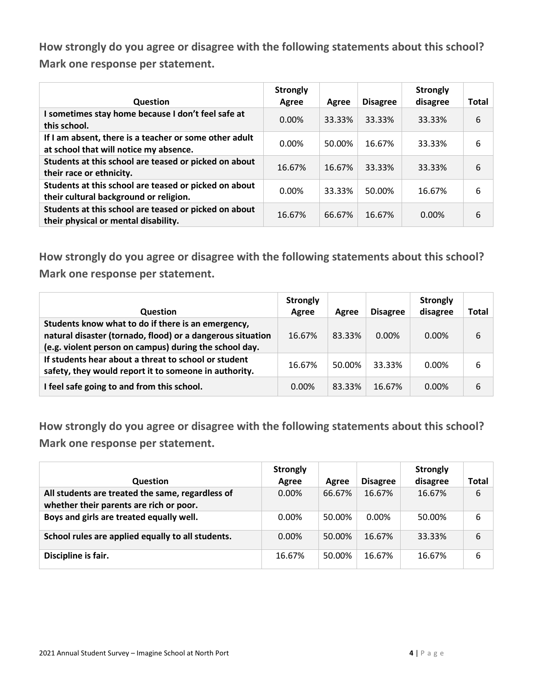| Question                                                                                         | <b>Strongly</b><br>Agree | Agree  | <b>Disagree</b> | <b>Strongly</b><br>disagree | <b>Total</b> |
|--------------------------------------------------------------------------------------------------|--------------------------|--------|-----------------|-----------------------------|--------------|
| I sometimes stay home because I don't feel safe at<br>this school.                               | $0.00\%$                 | 33.33% | 33.33%          | 33.33%                      | 6            |
| If I am absent, there is a teacher or some other adult<br>at school that will notice my absence. | 0.00%                    | 50.00% | 16.67%          | 33.33%                      | 6            |
| Students at this school are teased or picked on about<br>their race or ethnicity.                | 16.67%                   | 16.67% | 33.33%          | 33.33%                      | 6            |
| Students at this school are teased or picked on about<br>their cultural background or religion.  | 0.00%                    | 33.33% | 50.00%          | 16.67%                      | 6            |
| Students at this school are teased or picked on about<br>their physical or mental disability.    | 16.67%                   | 66.67% | 16.67%          | $0.00\%$                    | 6            |

**How strongly do you agree or disagree with the following statements about this school? Mark one response per statement.**

| <b>Question</b>                                                                                                                                                            | <b>Strongly</b><br>Agree | Agree  | <b>Disagree</b> | <b>Strongly</b><br>disagree | Total |
|----------------------------------------------------------------------------------------------------------------------------------------------------------------------------|--------------------------|--------|-----------------|-----------------------------|-------|
| Students know what to do if there is an emergency,<br>natural disaster (tornado, flood) or a dangerous situation<br>(e.g. violent person on campus) during the school day. | 16.67%                   | 83.33% | $0.00\%$        | $0.00\%$                    | 6     |
| If students hear about a threat to school or student<br>safety, they would report it to someone in authority.                                                              | 16.67%                   | 50.00% | 33.33%          | $0.00\%$                    | 6     |
| I feel safe going to and from this school.                                                                                                                                 | $0.00\%$                 | 83.33% | 16.67%          | $0.00\%$                    | 6     |

| <b>Question</b>                                                                             | <b>Strongly</b><br>Agree | Agree  | <b>Disagree</b> | <b>Strongly</b><br>disagree | Total |
|---------------------------------------------------------------------------------------------|--------------------------|--------|-----------------|-----------------------------|-------|
| All students are treated the same, regardless of<br>whether their parents are rich or poor. | 0.00%                    | 66.67% | 16.67%          | 16.67%                      | 6     |
| Boys and girls are treated equally well.                                                    | $0.00\%$                 | 50.00% | 0.00%           | 50.00%                      | 6     |
| School rules are applied equally to all students.                                           | $0.00\%$                 | 50.00% | 16.67%          | 33.33%                      | 6     |
| Discipline is fair.                                                                         | 16.67%                   | 50.00% | 16.67%          | 16.67%                      | 6     |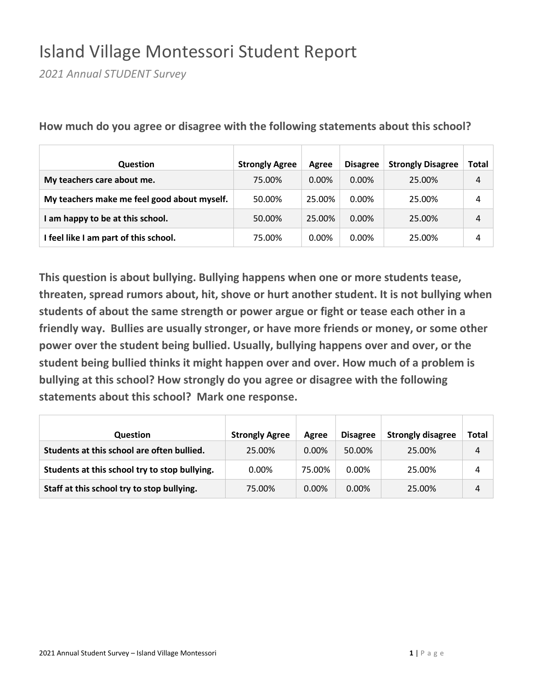## Island Village Montessori Student Report

*2021 Annual STUDENT Survey*

| <b>Question</b>                             | <b>Strongly Agree</b> | Agree    | <b>Disagree</b> | <b>Strongly Disagree</b> | Total |
|---------------------------------------------|-----------------------|----------|-----------------|--------------------------|-------|
| My teachers care about me.                  | 75.00%                | $0.00\%$ | $0.00\%$        | 25.00%                   | 4     |
| My teachers make me feel good about myself. | 50.00%                | 25.00%   | $0.00\%$        | 25.00%                   | 4     |
| I am happy to be at this school.            | 50.00%                | 25.00%   | $0.00\%$        | 25.00%                   | 4     |
| I feel like I am part of this school.       | 75.00%                | $0.00\%$ | $0.00\%$        | 25.00%                   | 4     |

**How much do you agree or disagree with the following statements about this school?**

| <b>Question</b>                               | <b>Strongly Agree</b> | Agree    | <b>Disagree</b> | <b>Strongly disagree</b> | Total |
|-----------------------------------------------|-----------------------|----------|-----------------|--------------------------|-------|
| Students at this school are often bullied.    | 25.00%                | $0.00\%$ | 50.00%          | 25.00%                   | 4     |
| Students at this school try to stop bullying. | $0.00\%$              | 75.00%   | 0.00%           | 25.00%                   | 4     |
| Staff at this school try to stop bullying.    | 75.00%                | $0.00\%$ | $0.00\%$        | 25.00%                   | 4     |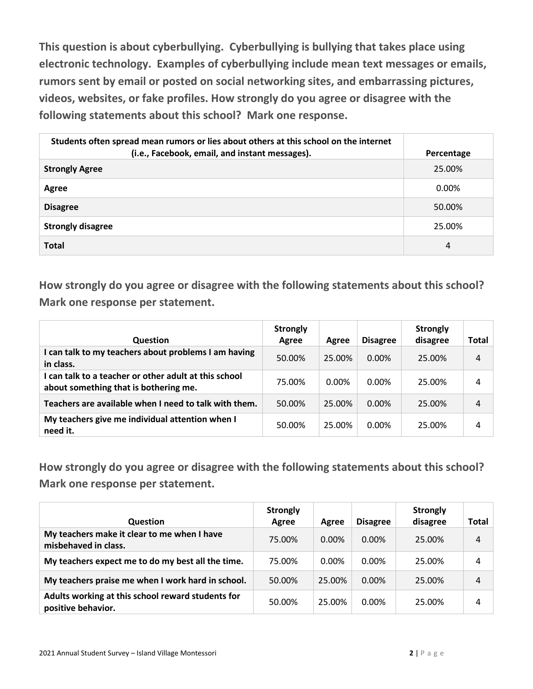**This question is about cyberbullying. Cyberbullying is bullying that takes place using electronic technology. Examples of cyberbullying include mean text messages or emails, rumors sent by email or posted on social networking sites, and embarrassing pictures, videos, websites, or fake profiles. How strongly do you agree or disagree with the following statements about this school? Mark one response.**

| Students often spread mean rumors or lies about others at this school on the internet<br>(i.e., Facebook, email, and instant messages). | Percentage |
|-----------------------------------------------------------------------------------------------------------------------------------------|------------|
| <b>Strongly Agree</b>                                                                                                                   | 25.00%     |
| Agree                                                                                                                                   | $0.00\%$   |
| <b>Disagree</b>                                                                                                                         | 50.00%     |
| <b>Strongly disagree</b>                                                                                                                | 25.00%     |
| <b>Total</b>                                                                                                                            | 4          |

**How strongly do you agree or disagree with the following statements about this school? Mark one response per statement.**

| <b>Question</b>                                                                                | <b>Strongly</b><br>Agree | Agree  | <b>Disagree</b> | <b>Strongly</b><br>disagree | Total |
|------------------------------------------------------------------------------------------------|--------------------------|--------|-----------------|-----------------------------|-------|
| I can talk to my teachers about problems I am having<br>in class.                              | 50.00%                   | 25.00% | $0.00\%$        | 25.00%                      | 4     |
| I can talk to a teacher or other adult at this school<br>about something that is bothering me. | 75.00%                   | 0.00%  | $0.00\%$        | 25.00%                      | 4     |
| Teachers are available when I need to talk with them.                                          | 50.00%                   | 25.00% | $0.00\%$        | 25.00%                      | 4     |
| My teachers give me individual attention when I<br>need it.                                    | 50.00%                   | 25.00% | 0.00%           | 25.00%                      | 4     |

| <b>Question</b>                                                         | <b>Strongly</b><br>Agree | Agree    | <b>Disagree</b> | <b>Strongly</b><br>disagree | Total |
|-------------------------------------------------------------------------|--------------------------|----------|-----------------|-----------------------------|-------|
| My teachers make it clear to me when I have<br>misbehaved in class.     | 75.00%                   | $0.00\%$ | $0.00\%$        | 25.00%                      | 4     |
| My teachers expect me to do my best all the time.                       | 75.00%                   | 0.00%    | $0.00\%$        | 25.00%                      | 4     |
| My teachers praise me when I work hard in school.                       | 50.00%                   | 25.00%   | $0.00\%$        | 25.00%                      | 4     |
| Adults working at this school reward students for<br>positive behavior. | 50.00%                   | 25.00%   | $0.00\%$        | 25.00%                      | 4     |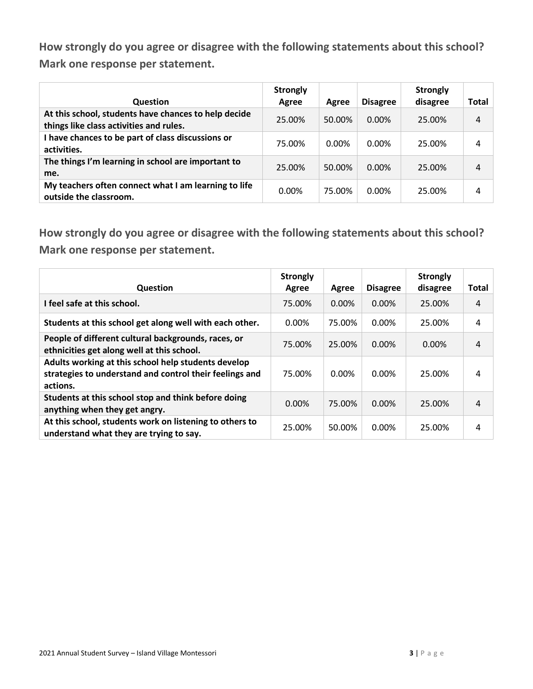| <b>Question</b>                                                                                 | <b>Strongly</b><br>Agree | Agree  | <b>Disagree</b> | <b>Strongly</b><br>disagree | Total |
|-------------------------------------------------------------------------------------------------|--------------------------|--------|-----------------|-----------------------------|-------|
| At this school, students have chances to help decide<br>things like class activities and rules. | 25.00%                   | 50.00% | $0.00\%$        | 25.00%                      | 4     |
| I have chances to be part of class discussions or<br>activities.                                | 75.00%                   | 0.00%  | $0.00\%$        | 25.00%                      | 4     |
| The things I'm learning in school are important to<br>me.                                       | 25.00%                   | 50.00% | $0.00\%$        | 25.00%                      | 4     |
| My teachers often connect what I am learning to life<br>outside the classroom.                  | $0.00\%$                 | 75.00% | $0.00\%$        | 25.00%                      | 4     |

| <b>Question</b>                                                                                                            | <b>Strongly</b><br>Agree | Agree  | <b>Disagree</b> | <b>Strongly</b><br>disagree | <b>Total</b> |
|----------------------------------------------------------------------------------------------------------------------------|--------------------------|--------|-----------------|-----------------------------|--------------|
| I feel safe at this school.                                                                                                | 75.00%                   | 0.00%  | 0.00%           | 25.00%                      | 4            |
| Students at this school get along well with each other.                                                                    | $0.00\%$                 | 75.00% | 0.00%           | 25.00%                      | 4            |
| People of different cultural backgrounds, races, or<br>ethnicities get along well at this school.                          | 75.00%                   | 25.00% | 0.00%           | $0.00\%$                    | 4            |
| Adults working at this school help students develop<br>strategies to understand and control their feelings and<br>actions. | 75.00%                   | 0.00%  | 0.00%           | 25.00%                      | 4            |
| Students at this school stop and think before doing<br>anything when they get angry.                                       | 0.00%                    | 75.00% | 0.00%           | 25.00%                      | 4            |
| At this school, students work on listening to others to<br>understand what they are trying to say.                         | 25.00%                   | 50.00% | 0.00%           | 25.00%                      | 4            |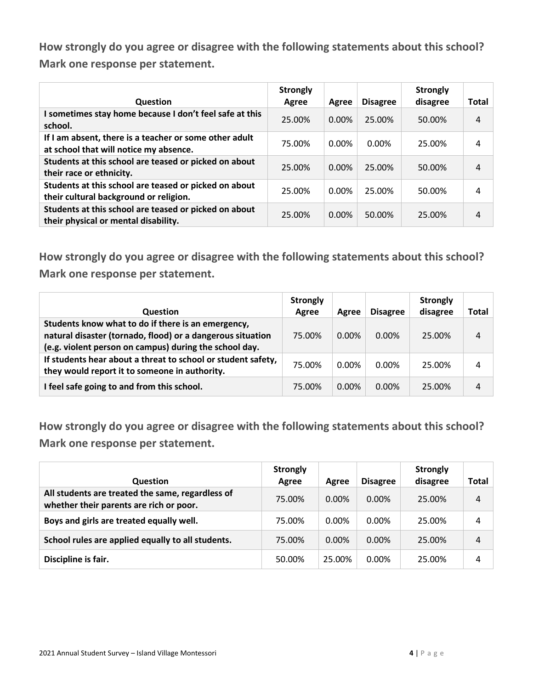| <b>Question</b>                                                                                  | <b>Strongly</b><br>Agree | Agree    | <b>Disagree</b> | <b>Strongly</b><br>disagree | <b>Total</b> |
|--------------------------------------------------------------------------------------------------|--------------------------|----------|-----------------|-----------------------------|--------------|
| I sometimes stay home because I don't feel safe at this<br>school.                               | 25.00%                   | 0.00%    | 25.00%          | 50.00%                      | 4            |
| If I am absent, there is a teacher or some other adult<br>at school that will notice my absence. | 75.00%                   | $0.00\%$ | $0.00\%$        | 25.00%                      | 4            |
| Students at this school are teased or picked on about<br>their race or ethnicity.                | 25.00%                   | $0.00\%$ | 25.00%          | 50.00%                      | 4            |
| Students at this school are teased or picked on about<br>their cultural background or religion.  | 25.00%                   | $0.00\%$ | 25.00%          | 50.00%                      | 4            |
| Students at this school are teased or picked on about<br>their physical or mental disability.    | 25.00%                   | $0.00\%$ | 50.00%          | 25.00%                      | 4            |

**How strongly do you agree or disagree with the following statements about this school? Mark one response per statement.**

| <b>Question</b>                                                                                                                                                            | <b>Strongly</b><br>Agree | Agree    | <b>Disagree</b> | <b>Strongly</b><br>disagree | Total |
|----------------------------------------------------------------------------------------------------------------------------------------------------------------------------|--------------------------|----------|-----------------|-----------------------------|-------|
| Students know what to do if there is an emergency,<br>natural disaster (tornado, flood) or a dangerous situation<br>(e.g. violent person on campus) during the school day. | 75.00%                   | $0.00\%$ | $0.00\%$        | 25.00%                      | 4     |
| If students hear about a threat to school or student safety,<br>they would report it to someone in authority.                                                              | 75.00%                   | $0.00\%$ | $0.00\%$        | 25.00%                      | 4     |
| I feel safe going to and from this school.                                                                                                                                 | 75.00%                   | $0.00\%$ | $0.00\%$        | 25.00%                      | 4     |

| <b>Question</b>                                                                             | <b>Strongly</b><br>Agree | Agree    | <b>Disagree</b> | <b>Strongly</b><br>disagree | Total |
|---------------------------------------------------------------------------------------------|--------------------------|----------|-----------------|-----------------------------|-------|
| All students are treated the same, regardless of<br>whether their parents are rich or poor. | 75.00%                   | 0.00%    | $0.00\%$        | 25.00%                      | 4     |
| Boys and girls are treated equally well.                                                    | 75.00%                   | 0.00%    | $0.00\%$        | 25.00%                      | 4     |
| School rules are applied equally to all students.                                           | 75.00%                   | $0.00\%$ | $0.00\%$        | 25.00%                      | 4     |
| Discipline is fair.                                                                         | 50.00%                   | 25.00%   | 0.00%           | 25.00%                      | 4     |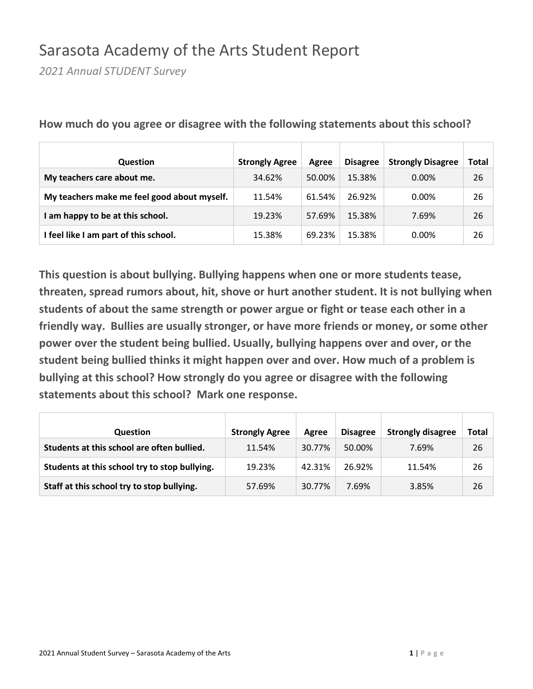### Sarasota Academy of the Arts Student Report

*2021 Annual STUDENT Survey*

| <b>Question</b>                             | <b>Strongly Agree</b> | Agree  | <b>Disagree</b> | <b>Strongly Disagree</b> | Total |
|---------------------------------------------|-----------------------|--------|-----------------|--------------------------|-------|
| My teachers care about me.                  | 34.62%                | 50.00% | 15.38%          | $0.00\%$                 | 26    |
| My teachers make me feel good about myself. | 11.54%                | 61.54% | 26.92%          | $0.00\%$                 | 26    |
| am happy to be at this school.              | 19.23%                | 57.69% | 15.38%          | 7.69%                    | 26    |
| I feel like I am part of this school.       | 15.38%                | 69.23% | 15.38%          | $0.00\%$                 | 26    |

**How much do you agree or disagree with the following statements about this school?**

| <b>Question</b>                               | <b>Strongly Agree</b> | Agree  | <b>Disagree</b> | <b>Strongly disagree</b> | Total |
|-----------------------------------------------|-----------------------|--------|-----------------|--------------------------|-------|
| Students at this school are often bullied.    | 11.54%                | 30.77% | 50.00%          | 7.69%                    | 26    |
|                                               |                       |        |                 |                          |       |
| Students at this school try to stop bullying. | 19.23%                | 42.31% | 26.92%          | 11.54%                   | 26    |
| Staff at this school try to stop bullying.    | 57.69%                | 30.77% | 7.69%           | 3.85%                    | 26    |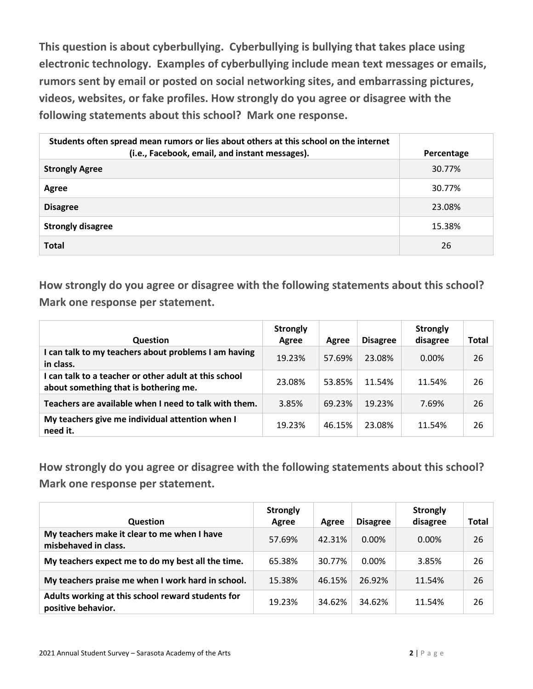**This question is about cyberbullying. Cyberbullying is bullying that takes place using electronic technology. Examples of cyberbullying include mean text messages or emails, rumors sent by email or posted on social networking sites, and embarrassing pictures, videos, websites, or fake profiles. How strongly do you agree or disagree with the following statements about this school? Mark one response.**

| Students often spread mean rumors or lies about others at this school on the internet<br>(i.e., Facebook, email, and instant messages). | Percentage |
|-----------------------------------------------------------------------------------------------------------------------------------------|------------|
| <b>Strongly Agree</b>                                                                                                                   | 30.77%     |
| Agree                                                                                                                                   | 30.77%     |
| <b>Disagree</b>                                                                                                                         | 23.08%     |
| <b>Strongly disagree</b>                                                                                                                | 15.38%     |
| <b>Total</b>                                                                                                                            | 26         |

**How strongly do you agree or disagree with the following statements about this school? Mark one response per statement.**

| <b>Question</b>                                                                                | <b>Strongly</b><br>Agree | Agree  | <b>Disagree</b> | <b>Strongly</b><br>disagree | Total |
|------------------------------------------------------------------------------------------------|--------------------------|--------|-----------------|-----------------------------|-------|
| I can talk to my teachers about problems I am having<br>in class.                              | 19.23%                   | 57.69% | 23.08%          | $0.00\%$                    | 26    |
| I can talk to a teacher or other adult at this school<br>about something that is bothering me. | 23.08%                   | 53.85% | 11.54%          | 11.54%                      | 26    |
| Teachers are available when I need to talk with them.                                          | 3.85%                    | 69.23% | 19.23%          | 7.69%                       | 26    |
| My teachers give me individual attention when I<br>need it.                                    | 19.23%                   | 46.15% | 23.08%          | 11.54%                      | 26    |

| <b>Question</b>                                                         | <b>Strongly</b><br>Agree | Agree  | <b>Disagree</b> | <b>Strongly</b><br>disagree | Total |
|-------------------------------------------------------------------------|--------------------------|--------|-----------------|-----------------------------|-------|
| My teachers make it clear to me when I have<br>misbehaved in class.     | 57.69%                   | 42.31% | $0.00\%$        | $0.00\%$                    | 26    |
| My teachers expect me to do my best all the time.                       | 65.38%                   | 30.77% | 0.00%           | 3.85%                       | 26    |
| My teachers praise me when I work hard in school.                       | 15.38%                   | 46.15% | 26.92%          | 11.54%                      | 26    |
| Adults working at this school reward students for<br>positive behavior. | 19.23%                   | 34.62% | 34.62%          | 11.54%                      | 26    |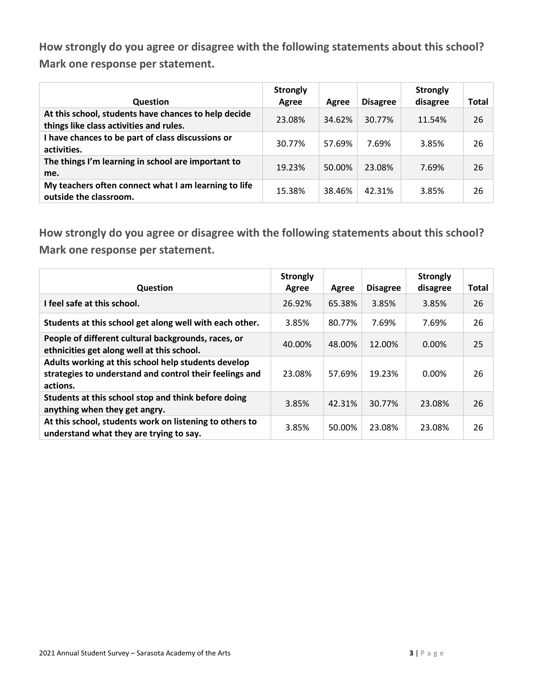| <b>Question</b>                                                                                 | <b>Strongly</b><br>Agree | Agree  | <b>Disagree</b> | <b>Strongly</b><br>disagree | Total |
|-------------------------------------------------------------------------------------------------|--------------------------|--------|-----------------|-----------------------------|-------|
| At this school, students have chances to help decide<br>things like class activities and rules. | 23.08%                   | 34.62% | 30.77%          | 11.54%                      | 26    |
| I have chances to be part of class discussions or<br>activities.                                | 30.77%                   | 57.69% | 7.69%           | 3.85%                       | 26    |
| The things I'm learning in school are important to<br>me.                                       | 19.23%                   | 50.00% | 23.08%          | 7.69%                       | 26    |
| My teachers often connect what I am learning to life<br>outside the classroom.                  | 15.38%                   | 38.46% | 42.31%          | 3.85%                       | 26    |

| <b>Question</b>                                                                                                            | <b>Strongly</b><br>Agree | Agree  | <b>Disagree</b> | <b>Strongly</b><br>disagree | <b>Total</b> |
|----------------------------------------------------------------------------------------------------------------------------|--------------------------|--------|-----------------|-----------------------------|--------------|
| I feel safe at this school.                                                                                                | 26.92%                   | 65.38% | 3.85%           | 3.85%                       | 26           |
| Students at this school get along well with each other.                                                                    | 3.85%                    | 80.77% | 7.69%           | 7.69%                       | 26           |
| People of different cultural backgrounds, races, or<br>ethnicities get along well at this school.                          | 40.00%                   | 48.00% | 12.00%          | 0.00%                       | 25           |
| Adults working at this school help students develop<br>strategies to understand and control their feelings and<br>actions. | 23.08%                   | 57.69% | 19.23%          | $0.00\%$                    | 26           |
| Students at this school stop and think before doing<br>anything when they get angry.                                       | 3.85%                    | 42.31% | 30.77%          | 23.08%                      | 26           |
| At this school, students work on listening to others to<br>understand what they are trying to say.                         | 3.85%                    | 50.00% | 23.08%          | 23.08%                      | 26           |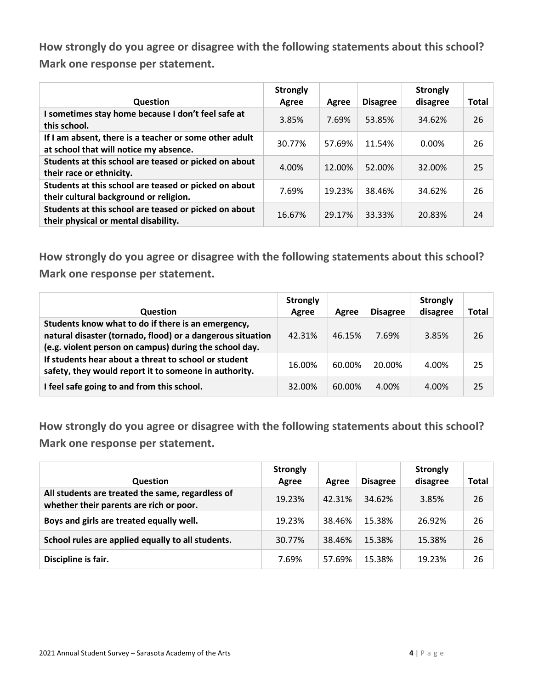| Question                                                                                         | <b>Strongly</b><br>Agree | Agree  | <b>Disagree</b> | <b>Strongly</b><br>disagree | <b>Total</b> |
|--------------------------------------------------------------------------------------------------|--------------------------|--------|-----------------|-----------------------------|--------------|
| I sometimes stay home because I don't feel safe at<br>this school.                               | 3.85%                    | 7.69%  | 53.85%          | 34.62%                      | 26           |
| If I am absent, there is a teacher or some other adult<br>at school that will notice my absence. | 30.77%                   | 57.69% | 11.54%          | $0.00\%$                    | 26           |
| Students at this school are teased or picked on about<br>their race or ethnicity.                | 4.00%                    | 12.00% | 52.00%          | 32.00%                      | 25           |
| Students at this school are teased or picked on about<br>their cultural background or religion.  | 7.69%                    | 19.23% | 38.46%          | 34.62%                      | 26           |
| Students at this school are teased or picked on about<br>their physical or mental disability.    | 16.67%                   | 29.17% | 33.33%          | 20.83%                      | 24           |

**How strongly do you agree or disagree with the following statements about this school? Mark one response per statement.**

| <b>Question</b>                                                                                                                                                            | <b>Strongly</b><br>Agree | Agree  | <b>Disagree</b> | <b>Strongly</b><br>disagree | <b>Total</b> |
|----------------------------------------------------------------------------------------------------------------------------------------------------------------------------|--------------------------|--------|-----------------|-----------------------------|--------------|
| Students know what to do if there is an emergency,<br>natural disaster (tornado, flood) or a dangerous situation<br>(e.g. violent person on campus) during the school day. | 42.31%                   | 46.15% | 7.69%           | 3.85%                       | 26           |
| If students hear about a threat to school or student<br>safety, they would report it to someone in authority.                                                              | 16.00%                   | 60.00% | 20.00%          | 4.00%                       | 25           |
| I feel safe going to and from this school.                                                                                                                                 | 32.00%                   | 60.00% | 4.00%           | 4.00%                       | 25           |

| <b>Question</b>                                                                             | <b>Strongly</b><br>Agree | Agree  | <b>Disagree</b> | <b>Strongly</b><br>disagree | <b>Total</b> |
|---------------------------------------------------------------------------------------------|--------------------------|--------|-----------------|-----------------------------|--------------|
| All students are treated the same, regardless of<br>whether their parents are rich or poor. | 19.23%                   | 42.31% | 34.62%          | 3.85%                       | 26           |
| Boys and girls are treated equally well.                                                    | 19.23%                   | 38.46% | 15.38%          | 26.92%                      | 26           |
| School rules are applied equally to all students.                                           | 30.77%                   | 38.46% | 15.38%          | 15.38%                      | 26           |
| Discipline is fair.                                                                         | 7.69%                    | 57.69% | 15.38%          | 19.23%                      | 26           |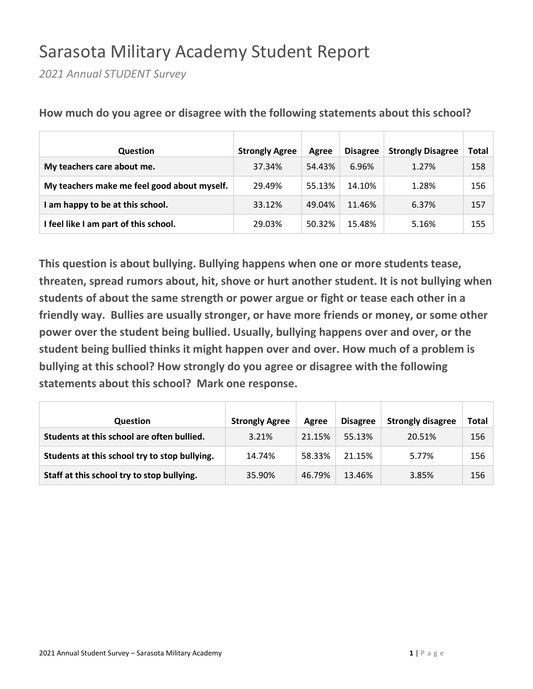## Sarasota Military Academy Student Report

*2021 Annual STUDENT Survey*

| <b>Question</b>                             | <b>Strongly Agree</b> | Agree  | <b>Disagree</b> | <b>Strongly Disagree</b> | Total |
|---------------------------------------------|-----------------------|--------|-----------------|--------------------------|-------|
| My teachers care about me.                  | 37.34%                | 54.43% | 6.96%           | 1.27%                    | 158   |
| My teachers make me feel good about myself. | 29.49%                | 55.13% | 14.10%          | 1.28%                    | 156   |
| I am happy to be at this school.            | 33.12%                | 49.04% | 11.46%          | 6.37%                    | 157   |
| I feel like I am part of this school.       | 29.03%                | 50.32% | 15.48%          | 5.16%                    | 155   |

**How much do you agree or disagree with the following statements about this school?**

| <b>Question</b>                               | <b>Strongly Agree</b> | Agree  | <b>Disagree</b> | <b>Strongly disagree</b> | Total |
|-----------------------------------------------|-----------------------|--------|-----------------|--------------------------|-------|
| Students at this school are often bullied.    | 3.21%                 | 21.15% | 55.13%          | 20.51%                   | 156   |
| Students at this school try to stop bullying. | 14.74%                | 58.33% | 21.15%          | 5.77%                    | 156   |
| Staff at this school try to stop bullying.    | 35.90%                | 46.79% | 13.46%          | 3.85%                    | 156   |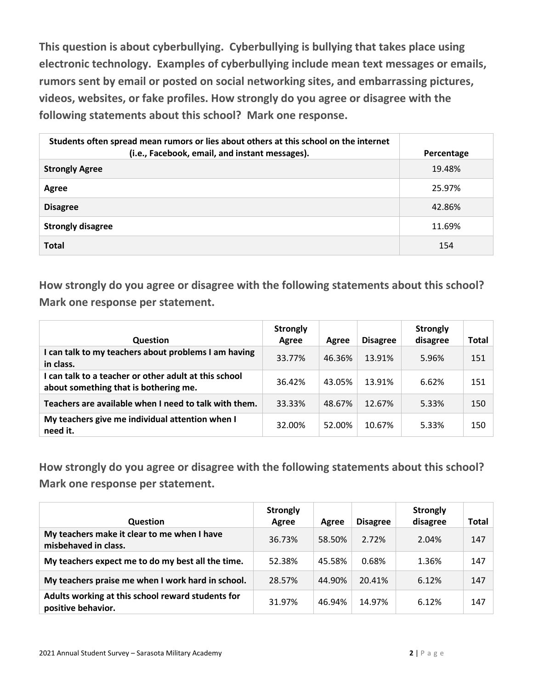**This question is about cyberbullying. Cyberbullying is bullying that takes place using electronic technology. Examples of cyberbullying include mean text messages or emails, rumors sent by email or posted on social networking sites, and embarrassing pictures, videos, websites, or fake profiles. How strongly do you agree or disagree with the following statements about this school? Mark one response.**

| Students often spread mean rumors or lies about others at this school on the internet<br>(i.e., Facebook, email, and instant messages). | Percentage |
|-----------------------------------------------------------------------------------------------------------------------------------------|------------|
| <b>Strongly Agree</b>                                                                                                                   | 19.48%     |
| Agree                                                                                                                                   | 25.97%     |
| <b>Disagree</b>                                                                                                                         | 42.86%     |
| <b>Strongly disagree</b>                                                                                                                | 11.69%     |
| <b>Total</b>                                                                                                                            | 154        |

**How strongly do you agree or disagree with the following statements about this school? Mark one response per statement.**

| <b>Question</b>                                                                                | <b>Strongly</b><br>Agree | Agree  | <b>Disagree</b> | <b>Strongly</b><br>disagree | <b>Total</b> |
|------------------------------------------------------------------------------------------------|--------------------------|--------|-----------------|-----------------------------|--------------|
| I can talk to my teachers about problems I am having<br>in class.                              | 33.77%                   | 46.36% | 13.91%          | 5.96%                       | 151          |
| I can talk to a teacher or other adult at this school<br>about something that is bothering me. | 36.42%                   | 43.05% | 13.91%          | 6.62%                       | 151          |
| Teachers are available when I need to talk with them.                                          | 33.33%                   | 48.67% | 12.67%          | 5.33%                       | 150          |
| My teachers give me individual attention when I<br>need it.                                    | 32.00%                   | 52.00% | 10.67%          | 5.33%                       | 150          |

| <b>Question</b>                                                         | <b>Strongly</b><br>Agree | Agree  | <b>Disagree</b> | <b>Strongly</b><br>disagree | Total |
|-------------------------------------------------------------------------|--------------------------|--------|-----------------|-----------------------------|-------|
| My teachers make it clear to me when I have<br>misbehaved in class.     | 36.73%                   | 58.50% | 2.72%           | 2.04%                       | 147   |
| My teachers expect me to do my best all the time.                       | 52.38%                   | 45.58% | 0.68%           | 1.36%                       | 147   |
| My teachers praise me when I work hard in school.                       | 28.57%                   | 44.90% | 20.41%          | 6.12%                       | 147   |
| Adults working at this school reward students for<br>positive behavior. | 31.97%                   | 46.94% | 14.97%          | 6.12%                       | 147   |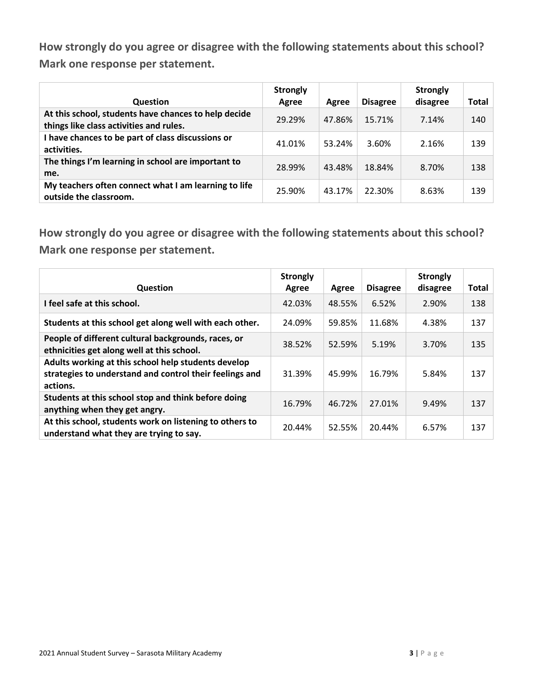| <b>Question</b>                                                                                 | <b>Strongly</b><br>Agree | Agree  | <b>Disagree</b> | <b>Strongly</b><br>disagree | Total |
|-------------------------------------------------------------------------------------------------|--------------------------|--------|-----------------|-----------------------------|-------|
| At this school, students have chances to help decide<br>things like class activities and rules. | 29.29%                   | 47.86% | 15.71%          | 7.14%                       | 140   |
| I have chances to be part of class discussions or<br>activities.                                | 41.01%                   | 53.24% | 3.60%           | 2.16%                       | 139   |
| The things I'm learning in school are important to<br>me.                                       | 28.99%                   | 43.48% | 18.84%          | 8.70%                       | 138   |
| My teachers often connect what I am learning to life<br>outside the classroom.                  | 25.90%                   | 43.17% | 22.30%          | 8.63%                       | 139   |

| Question                                                                                                                   | <b>Strongly</b><br>Agree | Agree  | <b>Disagree</b> | <b>Strongly</b><br>disagree | <b>Total</b> |
|----------------------------------------------------------------------------------------------------------------------------|--------------------------|--------|-----------------|-----------------------------|--------------|
| I feel safe at this school.                                                                                                | 42.03%                   | 48.55% | 6.52%           | 2.90%                       | 138          |
| Students at this school get along well with each other.                                                                    | 24.09%                   | 59.85% | 11.68%          | 4.38%                       | 137          |
| People of different cultural backgrounds, races, or<br>ethnicities get along well at this school.                          | 38.52%                   | 52.59% | 5.19%           | 3.70%                       | 135          |
| Adults working at this school help students develop<br>strategies to understand and control their feelings and<br>actions. | 31.39%                   | 45.99% | 16.79%          | 5.84%                       | 137          |
| Students at this school stop and think before doing<br>anything when they get angry.                                       | 16.79%                   | 46.72% | 27.01%          | 9.49%                       | 137          |
| At this school, students work on listening to others to<br>understand what they are trying to say.                         | 20.44%                   | 52.55% | 20.44%          | 6.57%                       | 137          |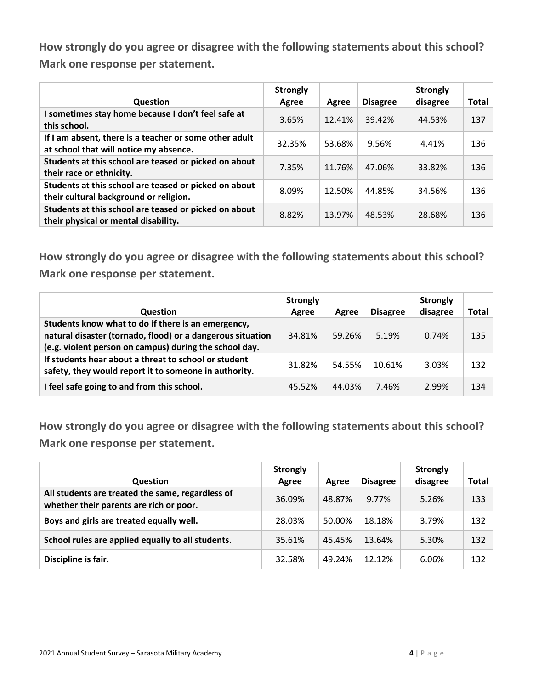| Question                                                                                         | <b>Strongly</b><br>Agree | Agree  | <b>Disagree</b> | <b>Strongly</b><br>disagree | Total |
|--------------------------------------------------------------------------------------------------|--------------------------|--------|-----------------|-----------------------------|-------|
| I sometimes stay home because I don't feel safe at<br>this school.                               | 3.65%                    | 12.41% | 39.42%          | 44.53%                      | 137   |
| If I am absent, there is a teacher or some other adult<br>at school that will notice my absence. | 32.35%                   | 53.68% | 9.56%           | 4.41%                       | 136   |
| Students at this school are teased or picked on about<br>their race or ethnicity.                | 7.35%                    | 11.76% | 47.06%          | 33.82%                      | 136   |
| Students at this school are teased or picked on about<br>their cultural background or religion.  | 8.09%                    | 12.50% | 44.85%          | 34.56%                      | 136   |
| Students at this school are teased or picked on about<br>their physical or mental disability.    | 8.82%                    | 13.97% | 48.53%          | 28.68%                      | 136   |

**How strongly do you agree or disagree with the following statements about this school? Mark one response per statement.**

| <b>Question</b>                                                                                                                                                            | <b>Strongly</b><br>Agree | Agree  | <b>Disagree</b> | <b>Strongly</b><br>disagree | Total |
|----------------------------------------------------------------------------------------------------------------------------------------------------------------------------|--------------------------|--------|-----------------|-----------------------------|-------|
| Students know what to do if there is an emergency,<br>natural disaster (tornado, flood) or a dangerous situation<br>(e.g. violent person on campus) during the school day. | 34.81%                   | 59.26% | 5.19%           | 0.74%                       | 135   |
| If students hear about a threat to school or student<br>safety, they would report it to someone in authority.                                                              | 31.82%                   | 54.55% | 10.61%          | 3.03%                       | 132   |
| I feel safe going to and from this school.                                                                                                                                 | 45.52%                   | 44.03% | 7.46%           | 2.99%                       | 134   |

| <b>Question</b>                                                                             | <b>Strongly</b><br>Agree | Agree  | <b>Disagree</b> | <b>Strongly</b><br>disagree | <b>Total</b> |
|---------------------------------------------------------------------------------------------|--------------------------|--------|-----------------|-----------------------------|--------------|
| All students are treated the same, regardless of<br>whether their parents are rich or poor. | 36.09%                   | 48.87% | 9.77%           | 5.26%                       | 133          |
| Boys and girls are treated equally well.                                                    | 28.03%                   | 50.00% | 18.18%          | 3.79%                       | 132          |
| School rules are applied equally to all students.                                           | 35.61%                   | 45.45% | 13.64%          | 5.30%                       | 132          |
| Discipline is fair.                                                                         | 32.58%                   | 49.24% | 12.12%          | 6.06%                       | 132          |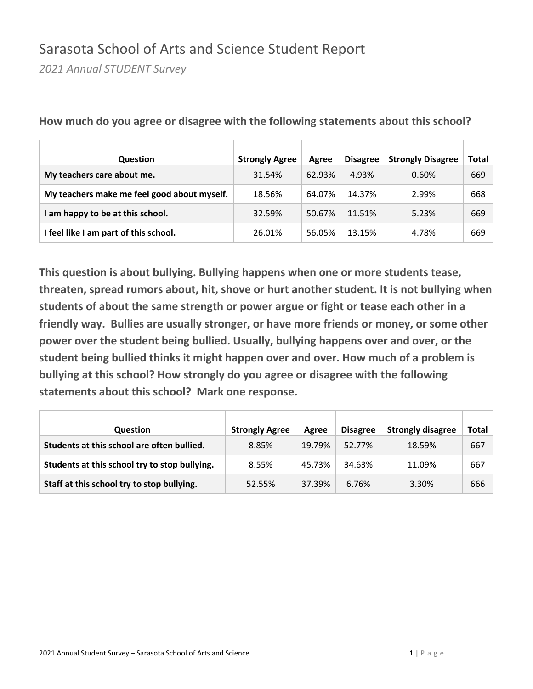#### Sarasota School of Arts and Science Student Report

*2021 Annual STUDENT Survey*

| Question                                    | <b>Strongly Agree</b> | Agree  | <b>Disagree</b> | <b>Strongly Disagree</b> | Total |
|---------------------------------------------|-----------------------|--------|-----------------|--------------------------|-------|
| My teachers care about me.                  | 31.54%                | 62.93% | 4.93%           | 0.60%                    | 669   |
| My teachers make me feel good about myself. | 18.56%                | 64.07% | 14.37%          | 2.99%                    | 668   |
| am happy to be at this school.              | 32.59%                | 50.67% | 11.51%          | 5.23%                    | 669   |
| I feel like I am part of this school.       | 26.01%                | 56.05% | 13.15%          | 4.78%                    | 669   |

**How much do you agree or disagree with the following statements about this school?**

| <b>Question</b>                               | <b>Strongly Agree</b> | Agree  | <b>Disagree</b> | <b>Strongly disagree</b> | Total |
|-----------------------------------------------|-----------------------|--------|-----------------|--------------------------|-------|
| Students at this school are often bullied.    | 8.85%                 | 19.79% | 52.77%          | 18.59%                   | 667   |
| Students at this school try to stop bullying. | 8.55%                 | 45.73% | 34.63%          | 11.09%                   | 667   |
| Staff at this school try to stop bullying.    | 52.55%                | 37.39% | 6.76%           | 3.30%                    | 666   |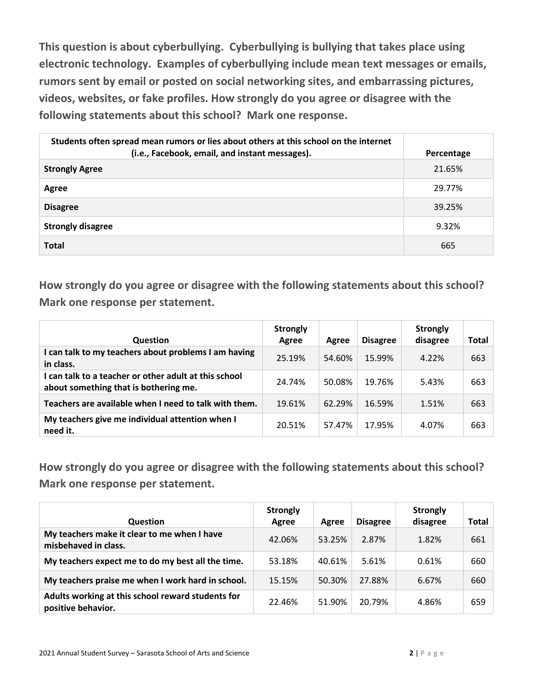**This question is about cyberbullying. Cyberbullying is bullying that takes place using electronic technology. Examples of cyberbullying include mean text messages or emails, rumors sent by email or posted on social networking sites, and embarrassing pictures, videos, websites, or fake profiles. How strongly do you agree or disagree with the following statements about this school? Mark one response.**

| Students often spread mean rumors or lies about others at this school on the internet<br>(i.e., Facebook, email, and instant messages). | Percentage |
|-----------------------------------------------------------------------------------------------------------------------------------------|------------|
| <b>Strongly Agree</b>                                                                                                                   | 21.65%     |
| Agree                                                                                                                                   | 29.77%     |
| <b>Disagree</b>                                                                                                                         | 39.25%     |
| <b>Strongly disagree</b>                                                                                                                | 9.32%      |
| <b>Total</b>                                                                                                                            | 665        |

**How strongly do you agree or disagree with the following statements about this school? Mark one response per statement.**

| <b>Question</b>                                                                                | <b>Strongly</b><br>Agree | Agree  | <b>Disagree</b> | <b>Strongly</b><br>disagree | <b>Total</b> |
|------------------------------------------------------------------------------------------------|--------------------------|--------|-----------------|-----------------------------|--------------|
| I can talk to my teachers about problems I am having<br>in class.                              | 25.19%                   | 54.60% | 15.99%          | 4.22%                       | 663          |
| I can talk to a teacher or other adult at this school<br>about something that is bothering me. | 24.74%                   | 50.08% | 19.76%          | 5.43%                       | 663          |
| Teachers are available when I need to talk with them.                                          | 19.61%                   | 62.29% | 16.59%          | 1.51%                       | 663          |
| My teachers give me individual attention when I<br>need it.                                    | 20.51%                   | 57.47% | 17.95%          | 4.07%                       | 663          |

| <b>Question</b>                                                         | <b>Strongly</b><br>Agree | Agree  | <b>Disagree</b> | <b>Strongly</b><br>disagree | Total |
|-------------------------------------------------------------------------|--------------------------|--------|-----------------|-----------------------------|-------|
| My teachers make it clear to me when I have<br>misbehaved in class.     | 42.06%                   | 53.25% | 2.87%           | 1.82%                       | 661   |
| My teachers expect me to do my best all the time.                       | 53.18%                   | 40.61% | 5.61%           | 0.61%                       | 660   |
| My teachers praise me when I work hard in school.                       | 15.15%                   | 50.30% | 27.88%          | 6.67%                       | 660   |
| Adults working at this school reward students for<br>positive behavior. | 22.46%                   | 51.90% | 20.79%          | 4.86%                       | 659   |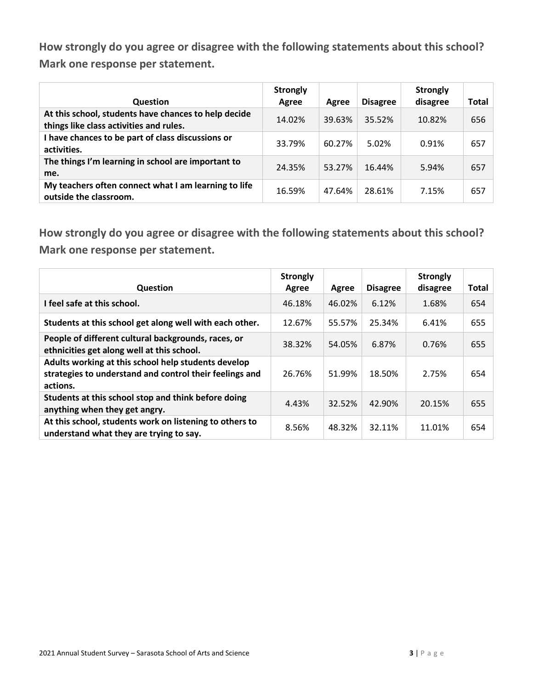| <b>Question</b>                                                                                 | <b>Strongly</b><br>Agree | Agree  | <b>Disagree</b> | <b>Strongly</b><br>disagree | Total |
|-------------------------------------------------------------------------------------------------|--------------------------|--------|-----------------|-----------------------------|-------|
| At this school, students have chances to help decide<br>things like class activities and rules. | 14.02%                   | 39.63% | 35.52%          | 10.82%                      | 656   |
| I have chances to be part of class discussions or<br>activities.                                | 33.79%                   | 60.27% | 5.02%           | 0.91%                       | 657   |
| The things I'm learning in school are important to<br>me.                                       | 24.35%                   | 53.27% | 16.44%          | 5.94%                       | 657   |
| My teachers often connect what I am learning to life<br>outside the classroom.                  | 16.59%                   | 47.64% | 28.61%          | 7.15%                       | 657   |

| <b>Question</b>                                                                                                            | <b>Strongly</b><br>Agree | Agree  | <b>Disagree</b> | <b>Strongly</b><br>disagree | <b>Total</b> |
|----------------------------------------------------------------------------------------------------------------------------|--------------------------|--------|-----------------|-----------------------------|--------------|
| I feel safe at this school.                                                                                                | 46.18%                   | 46.02% | 6.12%           | 1.68%                       | 654          |
| Students at this school get along well with each other.                                                                    | 12.67%                   | 55.57% | 25.34%          | 6.41%                       | 655          |
| People of different cultural backgrounds, races, or<br>ethnicities get along well at this school.                          | 38.32%                   | 54.05% | 6.87%           | 0.76%                       | 655          |
| Adults working at this school help students develop<br>strategies to understand and control their feelings and<br>actions. | 26.76%                   | 51.99% | 18.50%          | 2.75%                       | 654          |
| Students at this school stop and think before doing<br>anything when they get angry.                                       | 4.43%                    | 32.52% | 42.90%          | 20.15%                      | 655          |
| At this school, students work on listening to others to<br>understand what they are trying to say.                         | 8.56%                    | 48.32% | 32.11%          | 11.01%                      | 654          |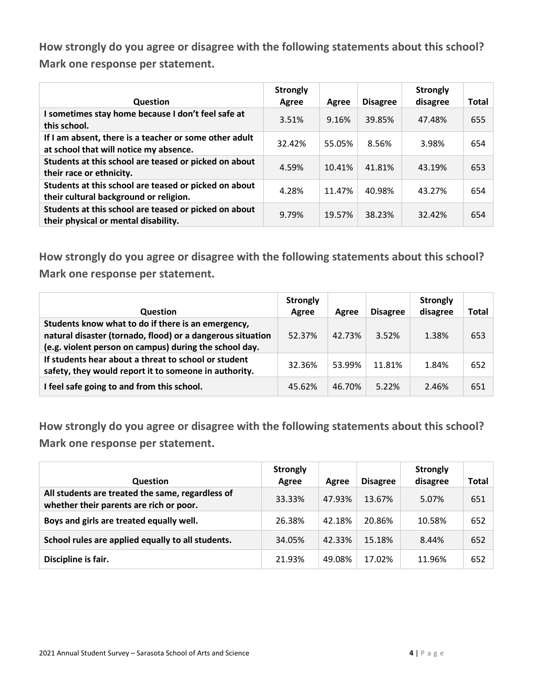| Question                                                                                         | <b>Strongly</b><br>Agree | Agree  | <b>Disagree</b> | <b>Strongly</b><br>disagree | Total |
|--------------------------------------------------------------------------------------------------|--------------------------|--------|-----------------|-----------------------------|-------|
| I sometimes stay home because I don't feel safe at<br>this school.                               | 3.51%                    | 9.16%  | 39.85%          | 47.48%                      | 655   |
| If I am absent, there is a teacher or some other adult<br>at school that will notice my absence. | 32.42%                   | 55.05% | 8.56%           | 3.98%                       | 654   |
| Students at this school are teased or picked on about<br>their race or ethnicity.                | 4.59%                    | 10.41% | 41.81%          | 43.19%                      | 653   |
| Students at this school are teased or picked on about<br>their cultural background or religion.  | 4.28%                    | 11.47% | 40.98%          | 43.27%                      | 654   |
| Students at this school are teased or picked on about<br>their physical or mental disability.    | 9.79%                    | 19.57% | 38.23%          | 32.42%                      | 654   |

**How strongly do you agree or disagree with the following statements about this school? Mark one response per statement.**

| <b>Question</b>                                                                                                                                                            | <b>Strongly</b><br>Agree | Agree  | <b>Disagree</b> | <b>Strongly</b><br>disagree | <b>Total</b> |
|----------------------------------------------------------------------------------------------------------------------------------------------------------------------------|--------------------------|--------|-----------------|-----------------------------|--------------|
| Students know what to do if there is an emergency,<br>natural disaster (tornado, flood) or a dangerous situation<br>(e.g. violent person on campus) during the school day. | 52.37%                   | 42.73% | 3.52%           | 1.38%                       | 653          |
| If students hear about a threat to school or student<br>safety, they would report it to someone in authority.                                                              | 32.36%                   | 53.99% | 11.81%          | 1.84%                       | 652          |
| I feel safe going to and from this school.                                                                                                                                 | 45.62%                   | 46.70% | $5.22\%$        | 2.46%                       | 651          |

| <b>Question</b>                                                                             | <b>Strongly</b><br>Agree | Agree  | <b>Disagree</b> | <b>Strongly</b><br>disagree | <b>Total</b> |
|---------------------------------------------------------------------------------------------|--------------------------|--------|-----------------|-----------------------------|--------------|
| All students are treated the same, regardless of<br>whether their parents are rich or poor. | 33.33%                   | 47.93% | 13.67%          | 5.07%                       | 651          |
| Boys and girls are treated equally well.                                                    | 26.38%                   | 42.18% | 20.86%          | 10.58%                      | 652          |
| School rules are applied equally to all students.                                           | 34.05%                   | 42.33% | 15.18%          | 8.44%                       | 652          |
| Discipline is fair.                                                                         | 21.93%                   | 49.08% | 17.02%          | 11.96%                      | 652          |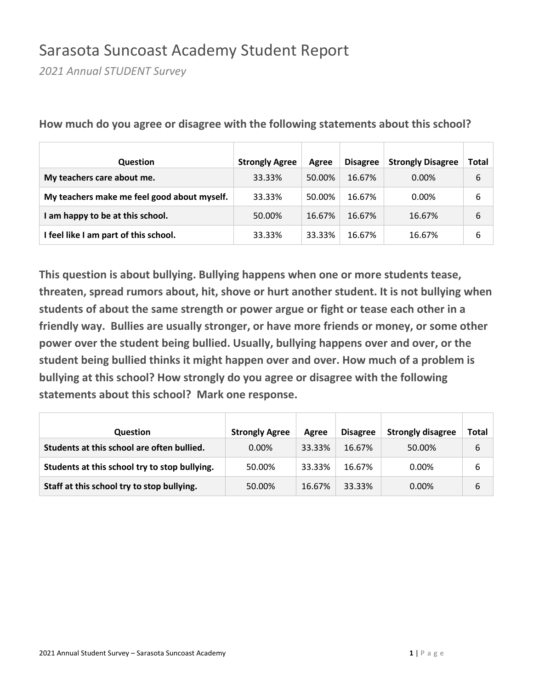### Sarasota Suncoast Academy Student Report

*2021 Annual STUDENT Survey*

| <b>Question</b>                             | <b>Strongly Agree</b> | Agree  | <b>Disagree</b> | <b>Strongly Disagree</b> | Total |
|---------------------------------------------|-----------------------|--------|-----------------|--------------------------|-------|
| My teachers care about me.                  | 33.33%                | 50.00% | 16.67%          | $0.00\%$                 | 6     |
| My teachers make me feel good about myself. | 33.33%                | 50.00% | 16.67%          | $0.00\%$                 | 6     |
| am happy to be at this school.              | 50.00%                | 16.67% | 16.67%          | 16.67%                   | 6     |
| I feel like I am part of this school.       | 33.33%                | 33.33% | 16.67%          | 16.67%                   | 6     |

**How much do you agree or disagree with the following statements about this school?**

| <b>Question</b>                               | <b>Strongly Agree</b> | Agree  | <b>Disagree</b> | <b>Strongly disagree</b> | Total |
|-----------------------------------------------|-----------------------|--------|-----------------|--------------------------|-------|
| Students at this school are often bullied.    | $0.00\%$              | 33.33% | 16.67%          | 50.00%                   | 6     |
| Students at this school try to stop bullying. | 50.00%                | 33.33% | 16.67%          | $0.00\%$                 | 6     |
| Staff at this school try to stop bullying.    | 50.00%                | 16.67% | 33.33%          | $0.00\%$                 | 6     |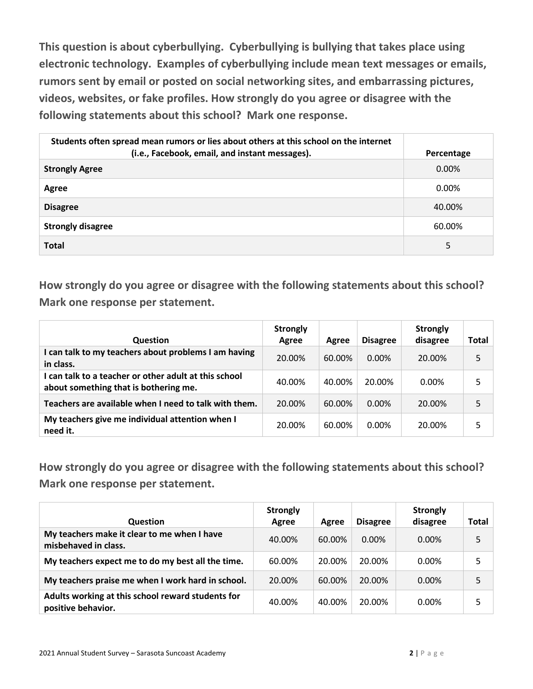**This question is about cyberbullying. Cyberbullying is bullying that takes place using electronic technology. Examples of cyberbullying include mean text messages or emails, rumors sent by email or posted on social networking sites, and embarrassing pictures, videos, websites, or fake profiles. How strongly do you agree or disagree with the following statements about this school? Mark one response.**

| Students often spread mean rumors or lies about others at this school on the internet<br>(i.e., Facebook, email, and instant messages). | Percentage |
|-----------------------------------------------------------------------------------------------------------------------------------------|------------|
| <b>Strongly Agree</b>                                                                                                                   | $0.00\%$   |
| Agree                                                                                                                                   | $0.00\%$   |
| <b>Disagree</b>                                                                                                                         | 40.00%     |
| <b>Strongly disagree</b>                                                                                                                | 60.00%     |
| <b>Total</b>                                                                                                                            | 5          |

**How strongly do you agree or disagree with the following statements about this school? Mark one response per statement.**

| <b>Question</b>                                                                                | <b>Strongly</b><br>Agree | Agree  | <b>Disagree</b> | <b>Strongly</b><br>disagree | Total |
|------------------------------------------------------------------------------------------------|--------------------------|--------|-----------------|-----------------------------|-------|
| I can talk to my teachers about problems I am having<br>in class.                              | 20.00%                   | 60.00% | $0.00\%$        | 20.00%                      | 5     |
| I can talk to a teacher or other adult at this school<br>about something that is bothering me. | 40.00%                   | 40.00% | 20.00%          | $0.00\%$                    | 5     |
| Teachers are available when I need to talk with them.                                          | 20.00%                   | 60.00% | $0.00\%$        | 20.00%                      |       |
| My teachers give me individual attention when I<br>need it.                                    | 20.00%                   | 60.00% | 0.00%           | 20.00%                      | 5     |

| Question                                                                | <b>Strongly</b><br>Agree | Agree  | <b>Disagree</b> | <b>Strongly</b><br>disagree | Total |
|-------------------------------------------------------------------------|--------------------------|--------|-----------------|-----------------------------|-------|
| My teachers make it clear to me when I have<br>misbehaved in class.     | 40.00%                   | 60.00% | $0.00\%$        | $0.00\%$                    | 5     |
| My teachers expect me to do my best all the time.                       | 60.00%                   | 20.00% | 20.00%          | $0.00\%$                    | 5     |
| My teachers praise me when I work hard in school.                       | 20.00%                   | 60.00% | 20.00%          | $0.00\%$                    | 5     |
| Adults working at this school reward students for<br>positive behavior. | 40.00%                   | 40.00% | 20.00%          | $0.00\%$                    |       |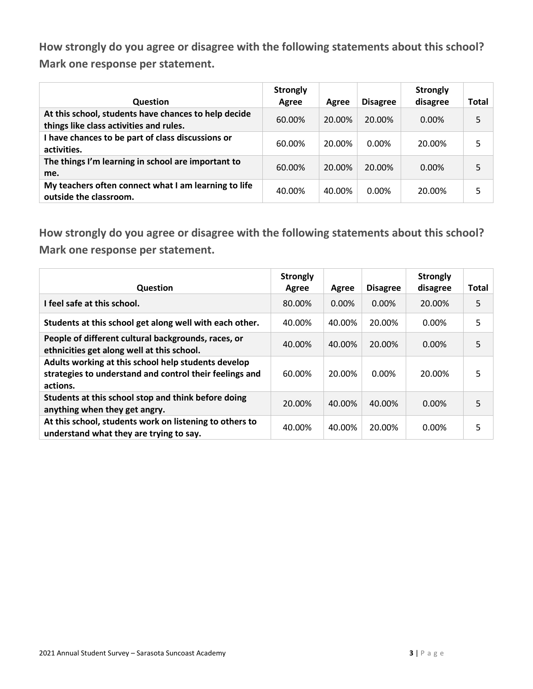| <b>Question</b>                                                                                 | <b>Strongly</b><br>Agree | Agree  | <b>Disagree</b> | <b>Strongly</b><br>disagree | Total |
|-------------------------------------------------------------------------------------------------|--------------------------|--------|-----------------|-----------------------------|-------|
| At this school, students have chances to help decide<br>things like class activities and rules. | 60.00%                   | 20.00% | 20.00%          | $0.00\%$                    | 5     |
| I have chances to be part of class discussions or<br>activities.                                | 60.00%                   | 20.00% | $0.00\%$        | 20.00%                      | 5     |
| The things I'm learning in school are important to<br>me.                                       | 60.00%                   | 20.00% | 20.00%          | $0.00\%$                    | 5     |
| My teachers often connect what I am learning to life<br>outside the classroom.                  | 40.00%                   | 40.00% | $0.00\%$        | 20.00%                      | 5     |

| <b>Question</b>                                                                                                            | <b>Strongly</b><br>Agree | Agree    | <b>Disagree</b> | <b>Strongly</b><br>disagree | <b>Total</b> |
|----------------------------------------------------------------------------------------------------------------------------|--------------------------|----------|-----------------|-----------------------------|--------------|
| I feel safe at this school.                                                                                                | 80.00%                   | $0.00\%$ | $0.00\%$        | 20.00%                      | 5            |
| Students at this school get along well with each other.                                                                    | 40.00%                   | 40.00%   | 20.00%          | 0.00%                       | 5            |
| People of different cultural backgrounds, races, or<br>ethnicities get along well at this school.                          | 40.00%                   | 40.00%   | 20.00%          | 0.00%                       | 5            |
| Adults working at this school help students develop<br>strategies to understand and control their feelings and<br>actions. | 60.00%                   | 20.00%   | 0.00%           | 20.00%                      | 5            |
| Students at this school stop and think before doing<br>anything when they get angry.                                       | 20.00%                   | 40.00%   | 40.00%          | $0.00\%$                    | 5            |
| At this school, students work on listening to others to<br>understand what they are trying to say.                         | 40.00%                   | 40.00%   | 20.00%          | 0.00%                       | 5            |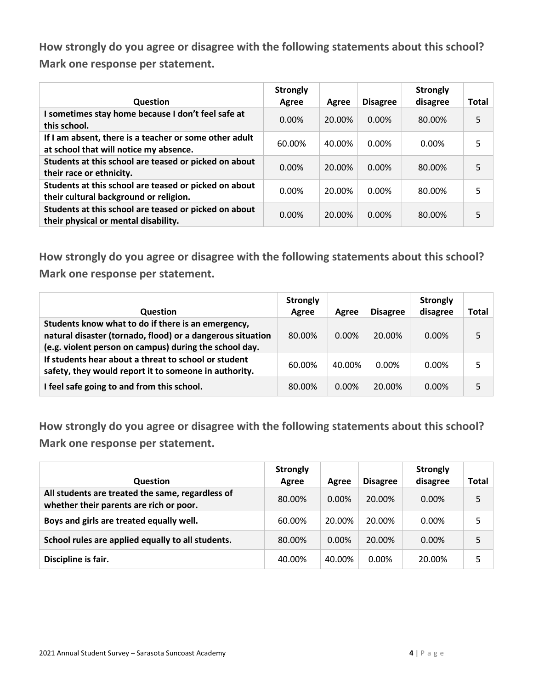| <b>Question</b>                                                                                  | <b>Strongly</b><br>Agree | Agree  | <b>Disagree</b> | <b>Strongly</b><br>disagree | <b>Total</b> |
|--------------------------------------------------------------------------------------------------|--------------------------|--------|-----------------|-----------------------------|--------------|
| I sometimes stay home because I don't feel safe at<br>this school.                               | $0.00\%$                 | 20.00% | 0.00%           | 80.00%                      | 5            |
| If I am absent, there is a teacher or some other adult<br>at school that will notice my absence. | 60.00%                   | 40.00% | 0.00%           | $0.00\%$                    | 5            |
| Students at this school are teased or picked on about<br>their race or ethnicity.                | 0.00%                    | 20.00% | 0.00%           | 80.00%                      | 5            |
| Students at this school are teased or picked on about<br>their cultural background or religion.  | 0.00%                    | 20.00% | 0.00%           | 80.00%                      | 5            |
| Students at this school are teased or picked on about<br>their physical or mental disability.    | $0.00\%$                 | 20.00% | 0.00%           | 80.00%                      | 5            |

**How strongly do you agree or disagree with the following statements about this school? Mark one response per statement.**

| <b>Question</b>                                                                                                                                                            | <b>Strongly</b><br>Agree | Agree    | <b>Disagree</b> | <b>Strongly</b><br>disagree | Total |
|----------------------------------------------------------------------------------------------------------------------------------------------------------------------------|--------------------------|----------|-----------------|-----------------------------|-------|
| Students know what to do if there is an emergency,<br>natural disaster (tornado, flood) or a dangerous situation<br>(e.g. violent person on campus) during the school day. | 80.00%                   | $0.00\%$ | 20.00%          | $0.00\%$                    |       |
| If students hear about a threat to school or student<br>safety, they would report it to someone in authority.                                                              | 60.00%                   | 40.00%   | $0.00\%$        | $0.00\%$                    |       |
| I feel safe going to and from this school.                                                                                                                                 | 80.00%                   | $0.00\%$ | 20.00%          | $0.00\%$                    |       |

| <b>Question</b>                                                                             | <b>Strongly</b><br>Agree | Agree    | <b>Disagree</b> | <b>Strongly</b><br>disagree | Total |
|---------------------------------------------------------------------------------------------|--------------------------|----------|-----------------|-----------------------------|-------|
| All students are treated the same, regardless of<br>whether their parents are rich or poor. | 80.00%                   | $0.00\%$ | 20.00%          | $0.00\%$                    | 5     |
| Boys and girls are treated equally well.                                                    | 60.00%                   | 20.00%   | 20.00%          | $0.00\%$                    |       |
| School rules are applied equally to all students.                                           | 80.00%                   | $0.00\%$ | 20.00%          | $0.00\%$                    | 5     |
| Discipline is fair.                                                                         | 40.00%                   | 40.00%   | $0.00\%$        | 20.00%                      | 5     |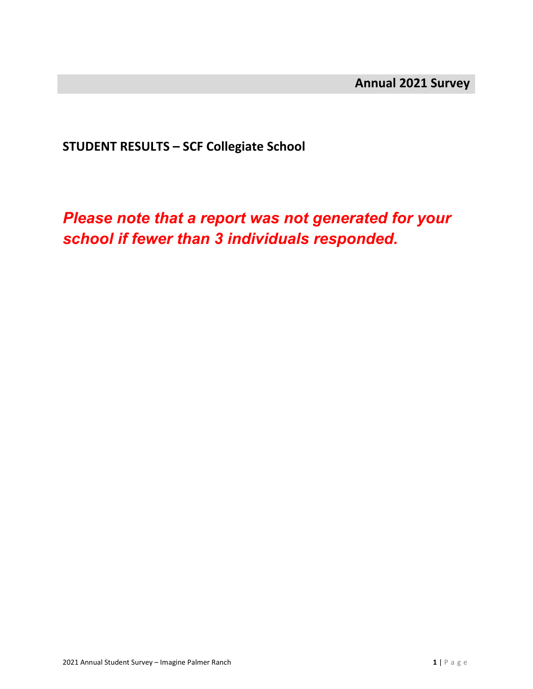**STUDENT RESULTS – SCF Collegiate School**

*Please note that a report was not generated for your school if fewer than 3 individuals responded.*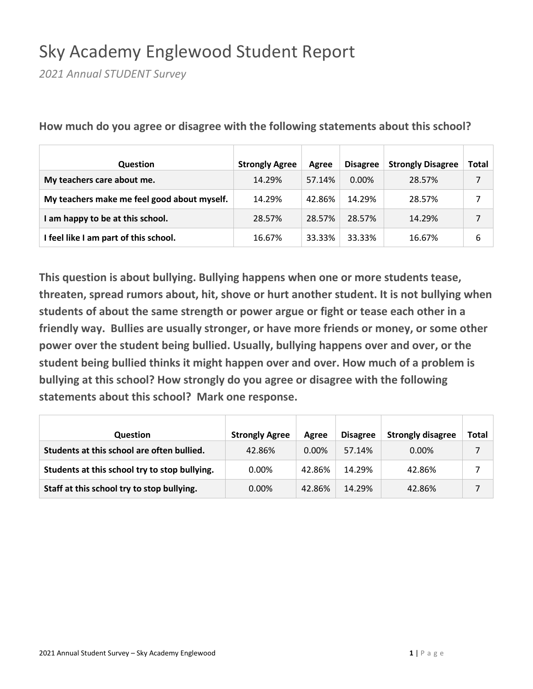## Sky Academy Englewood Student Report

*2021 Annual STUDENT Survey*

| Question                                    | <b>Strongly Agree</b> | Agree  | <b>Disagree</b> | <b>Strongly Disagree</b> | Total |
|---------------------------------------------|-----------------------|--------|-----------------|--------------------------|-------|
| My teachers care about me.                  | 14.29%                | 57.14% | $0.00\%$        | 28.57%                   |       |
| My teachers make me feel good about myself. | 14.29%                | 42.86% | 14.29%          | 28.57%                   |       |
| I am happy to be at this school.            | 28.57%                | 28.57% | 28.57%          | 14.29%                   |       |
| I feel like I am part of this school.       | 16.67%                | 33.33% | 33.33%          | 16.67%                   | 6     |

**How much do you agree or disagree with the following statements about this school?**

| <b>Question</b>                               | <b>Strongly Agree</b> | Agree    | <b>Disagree</b> | <b>Strongly disagree</b> | Total |
|-----------------------------------------------|-----------------------|----------|-----------------|--------------------------|-------|
| Students at this school are often bullied.    | 42.86%                | $0.00\%$ | 57.14%          | $0.00\%$                 |       |
| Students at this school try to stop bullying. | $0.00\%$              | 42.86%   | 14.29%          | 42.86%                   |       |
| Staff at this school try to stop bullying.    | 0.00%                 | 42.86%   | 14.29%          | 42.86%                   |       |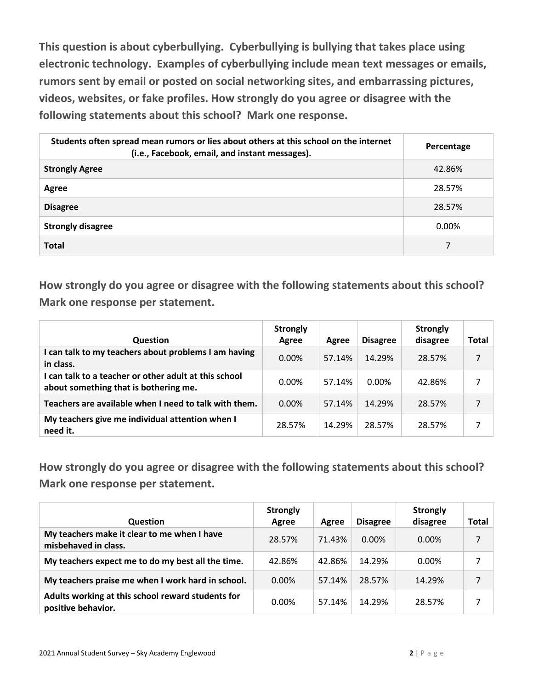**This question is about cyberbullying. Cyberbullying is bullying that takes place using electronic technology. Examples of cyberbullying include mean text messages or emails, rumors sent by email or posted on social networking sites, and embarrassing pictures, videos, websites, or fake profiles. How strongly do you agree or disagree with the following statements about this school? Mark one response.**

| Students often spread mean rumors or lies about others at this school on the internet<br>(i.e., Facebook, email, and instant messages). | Percentage |
|-----------------------------------------------------------------------------------------------------------------------------------------|------------|
| <b>Strongly Agree</b>                                                                                                                   | 42.86%     |
| Agree                                                                                                                                   | 28.57%     |
| <b>Disagree</b>                                                                                                                         | 28.57%     |
| <b>Strongly disagree</b>                                                                                                                | 0.00%      |
| <b>Total</b>                                                                                                                            | 7          |

**How strongly do you agree or disagree with the following statements about this school? Mark one response per statement.**

| <b>Question</b>                                                                                | <b>Strongly</b><br>Agree | Agree  | <b>Disagree</b> | <b>Strongly</b><br>disagree | Total |
|------------------------------------------------------------------------------------------------|--------------------------|--------|-----------------|-----------------------------|-------|
| I can talk to my teachers about problems I am having<br>in class.                              | $0.00\%$                 | 57.14% | 14.29%          | 28.57%                      | 7     |
| I can talk to a teacher or other adult at this school<br>about something that is bothering me. | $0.00\%$                 | 57.14% | 0.00%           | 42.86%                      |       |
| Teachers are available when I need to talk with them.                                          | $0.00\%$                 | 57.14% | 14.29%          | 28.57%                      | 7     |
| My teachers give me individual attention when I<br>need it.                                    | 28.57%                   | 14.29% | 28.57%          | 28.57%                      | 7     |

| <b>Question</b>                                                         | <b>Strongly</b><br>Agree | Agree  | <b>Disagree</b> | <b>Strongly</b><br>disagree | Total |
|-------------------------------------------------------------------------|--------------------------|--------|-----------------|-----------------------------|-------|
| My teachers make it clear to me when I have<br>misbehaved in class.     | 28.57%                   | 71.43% | $0.00\%$        | $0.00\%$                    |       |
| My teachers expect me to do my best all the time.                       | 42.86%                   | 42.86% | 14.29%          | $0.00\%$                    | 7     |
| My teachers praise me when I work hard in school.                       | $0.00\%$                 | 57.14% | 28.57%          | 14.29%                      |       |
| Adults working at this school reward students for<br>positive behavior. | 0.00%                    | 57.14% | 14.29%          | 28.57%                      |       |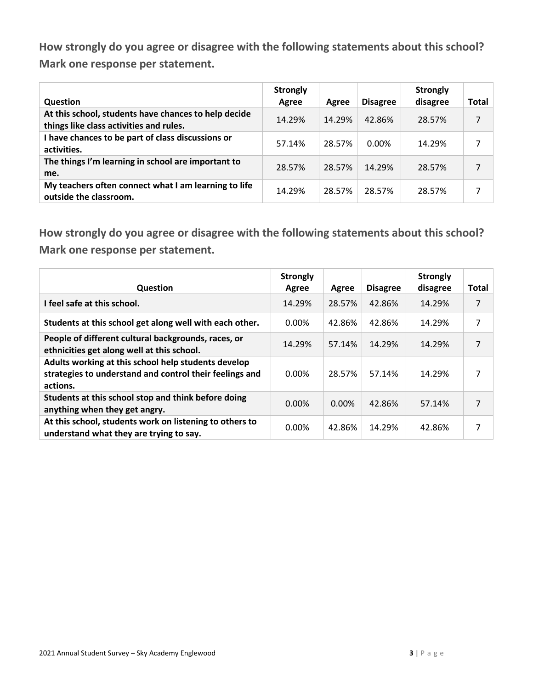| <b>Question</b>                                                                                 | <b>Strongly</b><br>Agree | Agree  | <b>Disagree</b> | <b>Strongly</b><br>disagree | <b>Total</b> |
|-------------------------------------------------------------------------------------------------|--------------------------|--------|-----------------|-----------------------------|--------------|
| At this school, students have chances to help decide<br>things like class activities and rules. | 14.29%                   | 14.29% | 42.86%          | 28.57%                      | 7            |
| I have chances to be part of class discussions or<br>activities.                                | 57.14%                   | 28.57% | $0.00\%$        | 14.29%                      |              |
| The things I'm learning in school are important to<br>me.                                       | 28.57%                   | 28.57% | 14.29%          | 28.57%                      | 7            |
| My teachers often connect what I am learning to life<br>outside the classroom.                  | 14.29%                   | 28.57% | 28.57%          | 28.57%                      | 7            |

| <b>Question</b>                                                                                                            | <b>Strongly</b><br>Agree | Agree  | <b>Disagree</b> | <b>Strongly</b><br>disagree | <b>Total</b> |
|----------------------------------------------------------------------------------------------------------------------------|--------------------------|--------|-----------------|-----------------------------|--------------|
| I feel safe at this school.                                                                                                | 14.29%                   | 28.57% | 42.86%          | 14.29%                      | 7            |
| Students at this school get along well with each other.                                                                    | 0.00%                    | 42.86% | 42.86%          | 14.29%                      | 7            |
| People of different cultural backgrounds, races, or<br>ethnicities get along well at this school.                          | 14.29%                   | 57.14% | 14.29%          | 14.29%                      | 7            |
| Adults working at this school help students develop<br>strategies to understand and control their feelings and<br>actions. | 0.00%                    | 28.57% | 57.14%          | 14.29%                      | 7            |
| Students at this school stop and think before doing<br>anything when they get angry.                                       | 0.00%                    | 0.00%  | 42.86%          | 57.14%                      | 7            |
| At this school, students work on listening to others to<br>understand what they are trying to say.                         | 0.00%                    | 42.86% | 14.29%          | 42.86%                      | 7            |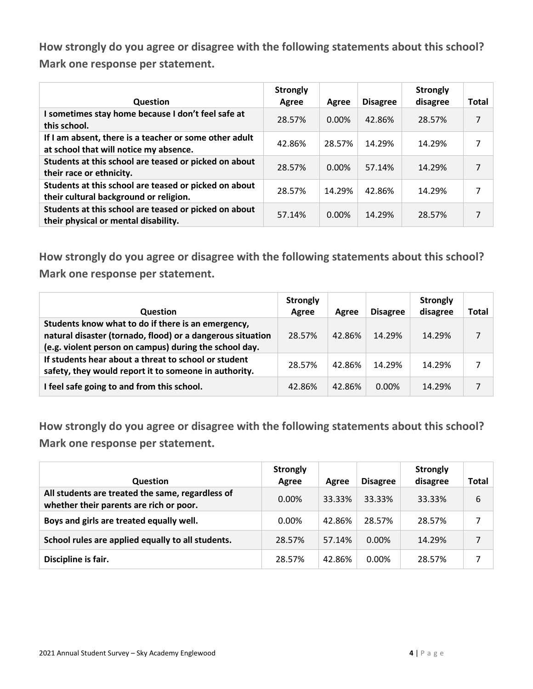| Question                                                                                         | <b>Strongly</b><br>Agree | Agree    | <b>Disagree</b> | <b>Strongly</b><br>disagree | <b>Total</b> |
|--------------------------------------------------------------------------------------------------|--------------------------|----------|-----------------|-----------------------------|--------------|
| I sometimes stay home because I don't feel safe at<br>this school.                               | 28.57%                   | $0.00\%$ | 42.86%          | 28.57%                      | 7            |
| If I am absent, there is a teacher or some other adult<br>at school that will notice my absence. | 42.86%                   | 28.57%   | 14.29%          | 14.29%                      | 7            |
| Students at this school are teased or picked on about<br>their race or ethnicity.                | 28.57%                   | 0.00%    | 57.14%          | 14.29%                      | 7            |
| Students at this school are teased or picked on about<br>their cultural background or religion.  | 28.57%                   | 14.29%   | 42.86%          | 14.29%                      | 7            |
| Students at this school are teased or picked on about<br>their physical or mental disability.    | 57.14%                   | $0.00\%$ | 14.29%          | 28.57%                      | 7            |

**How strongly do you agree or disagree with the following statements about this school? Mark one response per statement.**

| <b>Question</b>                                                                                                                                                            | <b>Strongly</b><br>Agree | Agree  | <b>Disagree</b> | <b>Strongly</b><br>disagree | Total |
|----------------------------------------------------------------------------------------------------------------------------------------------------------------------------|--------------------------|--------|-----------------|-----------------------------|-------|
| Students know what to do if there is an emergency,<br>natural disaster (tornado, flood) or a dangerous situation<br>(e.g. violent person on campus) during the school day. | 28.57%                   | 42.86% | 14.29%          | 14.29%                      | 7     |
| If students hear about a threat to school or student<br>safety, they would report it to someone in authority.                                                              | 28.57%                   | 42.86% | 14.29%          | 14.29%                      |       |
| I feel safe going to and from this school.                                                                                                                                 | 42.86%                   | 42.86% | $0.00\%$        | 14.29%                      |       |

| <b>Question</b>                                                                             | <b>Strongly</b><br>Agree | Agree  | <b>Disagree</b> | <b>Strongly</b><br>disagree | Total |
|---------------------------------------------------------------------------------------------|--------------------------|--------|-----------------|-----------------------------|-------|
| All students are treated the same, regardless of<br>whether their parents are rich or poor. | 0.00%                    | 33.33% | 33.33%          | 33.33%                      | 6     |
| Boys and girls are treated equally well.                                                    | 0.00%                    | 42.86% | 28.57%          | 28.57%                      |       |
| School rules are applied equally to all students.                                           | 28.57%                   | 57.14% | 0.00%           | 14.29%                      |       |
| Discipline is fair.                                                                         | 28.57%                   | 42.86% | 0.00%           | 28.57%                      |       |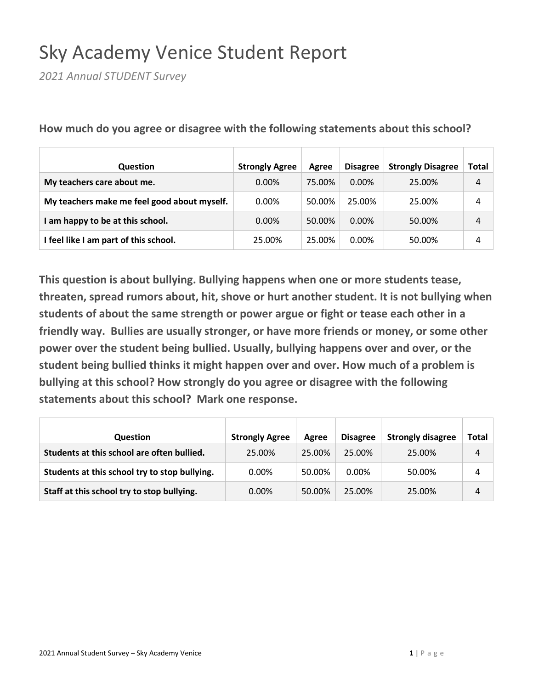# Sky Academy Venice Student Report

*2021 Annual STUDENT Survey*

| Question                                    | <b>Strongly Agree</b> | Agree  | <b>Disagree</b> | <b>Strongly Disagree</b> | Total |
|---------------------------------------------|-----------------------|--------|-----------------|--------------------------|-------|
| My teachers care about me.                  | 0.00%                 | 75.00% | $0.00\%$        | 25.00%                   | 4     |
| My teachers make me feel good about myself. | 0.00%                 | 50.00% | 25.00%          | 25.00%                   | 4     |
| I am happy to be at this school.            | $0.00\%$              | 50.00% | $0.00\%$        | 50.00%                   | 4     |
| I feel like I am part of this school.       | 25.00%                | 25.00% | $0.00\%$        | 50.00%                   | 4     |

**How much do you agree or disagree with the following statements about this school?**

| <b>Question</b>                               | <b>Strongly Agree</b> | Agree  | <b>Disagree</b> | <b>Strongly disagree</b> | Total |
|-----------------------------------------------|-----------------------|--------|-----------------|--------------------------|-------|
| Students at this school are often bullied.    | 25.00%                | 25.00% | 25.00%          | 25.00%                   | 4     |
| Students at this school try to stop bullying. | $0.00\%$              | 50.00% | $0.00\%$        | 50.00%                   | 4     |
| Staff at this school try to stop bullying.    | $0.00\%$              | 50.00% | 25.00%          | 25.00%                   | 4     |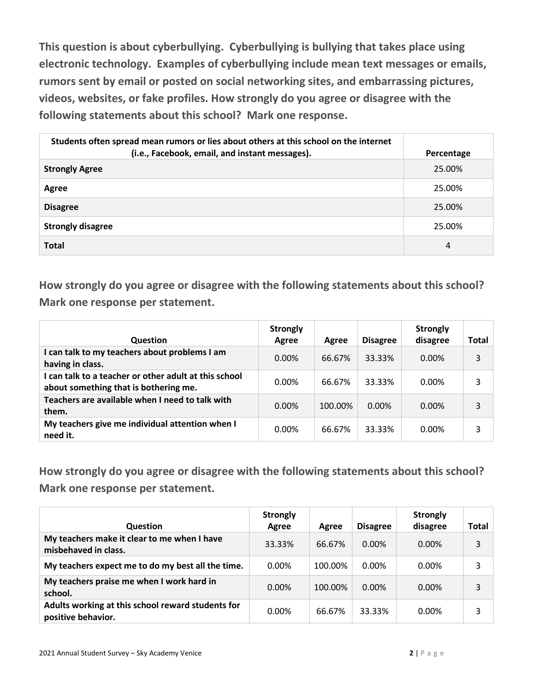**This question is about cyberbullying. Cyberbullying is bullying that takes place using electronic technology. Examples of cyberbullying include mean text messages or emails, rumors sent by email or posted on social networking sites, and embarrassing pictures, videos, websites, or fake profiles. How strongly do you agree or disagree with the following statements about this school? Mark one response.**

| Students often spread mean rumors or lies about others at this school on the internet<br>(i.e., Facebook, email, and instant messages). | Percentage |
|-----------------------------------------------------------------------------------------------------------------------------------------|------------|
| <b>Strongly Agree</b>                                                                                                                   | 25.00%     |
| Agree                                                                                                                                   | 25.00%     |
| <b>Disagree</b>                                                                                                                         | 25.00%     |
| <b>Strongly disagree</b>                                                                                                                | 25.00%     |
| <b>Total</b>                                                                                                                            | 4          |

**How strongly do you agree or disagree with the following statements about this school? Mark one response per statement.**

| <b>Question</b>                                                                                | <b>Strongly</b><br>Agree | Agree   | <b>Disagree</b> | <b>Strongly</b><br>disagree | Total |
|------------------------------------------------------------------------------------------------|--------------------------|---------|-----------------|-----------------------------|-------|
| I can talk to my teachers about problems I am<br>having in class.                              | $0.00\%$                 | 66.67%  | 33.33%          | $0.00\%$                    | 3     |
| I can talk to a teacher or other adult at this school<br>about something that is bothering me. | 0.00%                    | 66.67%  | 33.33%          | $0.00\%$                    | 3     |
| Teachers are available when I need to talk with<br>them.                                       | 0.00%                    | 100.00% | $0.00\%$        | $0.00\%$                    | 3     |
| My teachers give me individual attention when I<br>need it.                                    | 0.00%                    | 66.67%  | 33.33%          | $0.00\%$                    | 3     |

| <b>Question</b>                                                         | <b>Strongly</b><br>Agree | Agree   | <b>Disagree</b> | <b>Strongly</b><br>disagree | Total |
|-------------------------------------------------------------------------|--------------------------|---------|-----------------|-----------------------------|-------|
| My teachers make it clear to me when I have<br>misbehaved in class.     | 33.33%                   | 66.67%  | $0.00\%$        | $0.00\%$                    | 3     |
| My teachers expect me to do my best all the time.                       | 0.00%                    | 100.00% | 0.00%           | $0.00\%$                    | 3     |
| My teachers praise me when I work hard in<br>school.                    | $0.00\%$                 | 100.00% | $0.00\%$        | $0.00\%$                    | 3     |
| Adults working at this school reward students for<br>positive behavior. | 0.00%                    | 66.67%  | 33.33%          | 0.00%                       | 3     |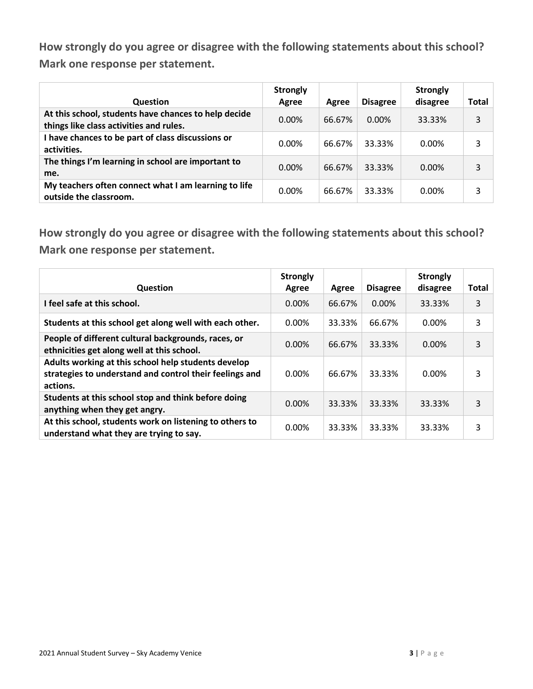| <b>Question</b>                                                                                 | <b>Strongly</b><br>Agree | Agree  | <b>Disagree</b> | <b>Strongly</b><br>disagree | Total |
|-------------------------------------------------------------------------------------------------|--------------------------|--------|-----------------|-----------------------------|-------|
| At this school, students have chances to help decide<br>things like class activities and rules. | $0.00\%$                 | 66.67% | $0.00\%$        | 33.33%                      | 3     |
| I have chances to be part of class discussions or<br>activities.                                | $0.00\%$                 | 66.67% | 33.33%          | $0.00\%$                    | 3     |
| The things I'm learning in school are important to<br>me.                                       | $0.00\%$                 | 66.67% | 33.33%          | $0.00\%$                    | 3     |
| My teachers often connect what I am learning to life<br>outside the classroom.                  | $0.00\%$                 | 66.67% | 33.33%          | $0.00\%$                    | 3     |

| <b>Question</b>                                                                                                            | <b>Strongly</b><br>Agree | Agree  | <b>Disagree</b> | <b>Strongly</b><br>disagree | <b>Total</b> |
|----------------------------------------------------------------------------------------------------------------------------|--------------------------|--------|-----------------|-----------------------------|--------------|
| I feel safe at this school.                                                                                                | $0.00\%$                 | 66.67% | $0.00\%$        | 33.33%                      | 3            |
| Students at this school get along well with each other.                                                                    | 0.00%                    | 33.33% | 66.67%          | 0.00%                       | 3            |
| People of different cultural backgrounds, races, or<br>ethnicities get along well at this school.                          | 0.00%                    | 66.67% | 33.33%          | 0.00%                       | 3            |
| Adults working at this school help students develop<br>strategies to understand and control their feelings and<br>actions. | 0.00%                    | 66.67% | 33.33%          | 0.00%                       | 3            |
| Students at this school stop and think before doing<br>anything when they get angry.                                       | 0.00%                    | 33.33% | 33.33%          | 33.33%                      | 3            |
| At this school, students work on listening to others to<br>understand what they are trying to say.                         | 0.00%                    | 33.33% | 33.33%          | 33.33%                      | 3            |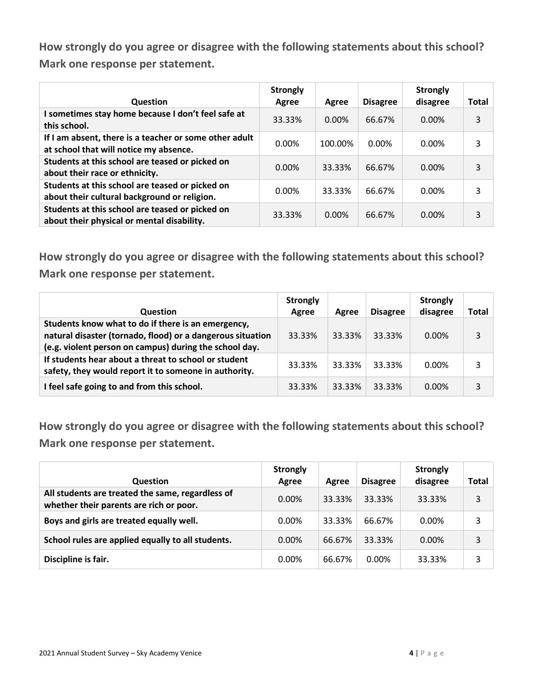| <b>Question</b>                                                                                  | <b>Strongly</b><br>Agree | Agree    | <b>Disagree</b> | <b>Strongly</b><br>disagree | <b>Total</b> |
|--------------------------------------------------------------------------------------------------|--------------------------|----------|-----------------|-----------------------------|--------------|
| I sometimes stay home because I don't feel safe at<br>this school.                               | 33.33%                   | $0.00\%$ | 66.67%          | $0.00\%$                    | 3            |
| If I am absent, there is a teacher or some other adult<br>at school that will notice my absence. | 0.00%                    | 100.00%  | 0.00%           | 0.00%                       | 3            |
| Students at this school are teased or picked on<br>about their race or ethnicity.                | $0.00\%$                 | 33.33%   | 66.67%          | 0.00%                       | 3            |
| Students at this school are teased or picked on<br>about their cultural background or religion.  | 0.00%                    | 33.33%   | 66.67%          | 0.00%                       | 3            |
| Students at this school are teased or picked on<br>about their physical or mental disability.    | 33.33%                   | 0.00%    | 66.67%          | 0.00%                       | 3            |

**How strongly do you agree or disagree with the following statements about this school? Mark one response per statement.**

| <b>Question</b>                                                                                                                                                            | <b>Strongly</b><br>Agree | Agree  | <b>Disagree</b> | <b>Strongly</b><br>disagree | Total |
|----------------------------------------------------------------------------------------------------------------------------------------------------------------------------|--------------------------|--------|-----------------|-----------------------------|-------|
| Students know what to do if there is an emergency,<br>natural disaster (tornado, flood) or a dangerous situation<br>(e.g. violent person on campus) during the school day. | 33.33%                   | 33.33% | 33.33%          | $0.00\%$                    | 3     |
| If students hear about a threat to school or student<br>safety, they would report it to someone in authority.                                                              | 33.33%                   | 33.33% | 33.33%          | $0.00\%$                    | 3     |
| I feel safe going to and from this school.                                                                                                                                 | 33.33%                   | 33.33% | 33.33%          | $0.00\%$                    |       |

| Question                                                                                    | <b>Strongly</b><br>Agree | Agree  | <b>Disagree</b> | <b>Strongly</b><br>disagree | Total |
|---------------------------------------------------------------------------------------------|--------------------------|--------|-----------------|-----------------------------|-------|
| All students are treated the same, regardless of<br>whether their parents are rich or poor. | $0.00\%$                 | 33.33% | 33.33%          | 33.33%                      | 3     |
| Boys and girls are treated equally well.                                                    | 0.00%                    | 33.33% | 66.67%          | $0.00\%$                    | 3     |
| School rules are applied equally to all students.                                           | 0.00%                    | 66.67% | 33.33%          | $0.00\%$                    | 3     |
| Discipline is fair.                                                                         | 0.00%                    | 66.67% | 0.00%           | 33.33%                      | 3     |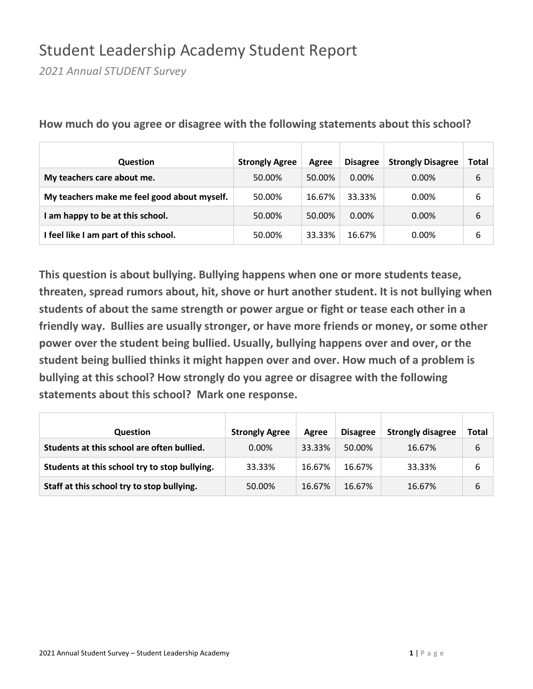## Student Leadership Academy Student Report

*2021 Annual STUDENT Survey*

| Question                                    | <b>Strongly Agree</b> | Agree  | <b>Disagree</b> | <b>Strongly Disagree</b> | Total |
|---------------------------------------------|-----------------------|--------|-----------------|--------------------------|-------|
| My teachers care about me.                  | 50.00%                | 50.00% | $0.00\%$        | $0.00\%$                 | 6     |
| My teachers make me feel good about myself. | 50.00%                | 16.67% | 33.33%          | $0.00\%$                 | 6     |
| am happy to be at this school.              | 50.00%                | 50.00% | $0.00\%$        | $0.00\%$                 | 6     |
| I feel like I am part of this school.       | 50.00%                | 33.33% | 16.67%          | $0.00\%$                 | 6     |

**How much do you agree or disagree with the following statements about this school?**

| <b>Question</b>                               | <b>Strongly Agree</b> | Agree  | <b>Disagree</b> | <b>Strongly disagree</b> | Total |
|-----------------------------------------------|-----------------------|--------|-----------------|--------------------------|-------|
| Students at this school are often bullied.    | $0.00\%$              | 33.33% | 50.00%          | 16.67%                   | 6     |
| Students at this school try to stop bullying. | 33.33%                | 16.67% | 16.67%          | 33.33%                   | 6     |
| Staff at this school try to stop bullying.    | 50.00%                | 16.67% | 16.67%          | 16.67%                   | 6     |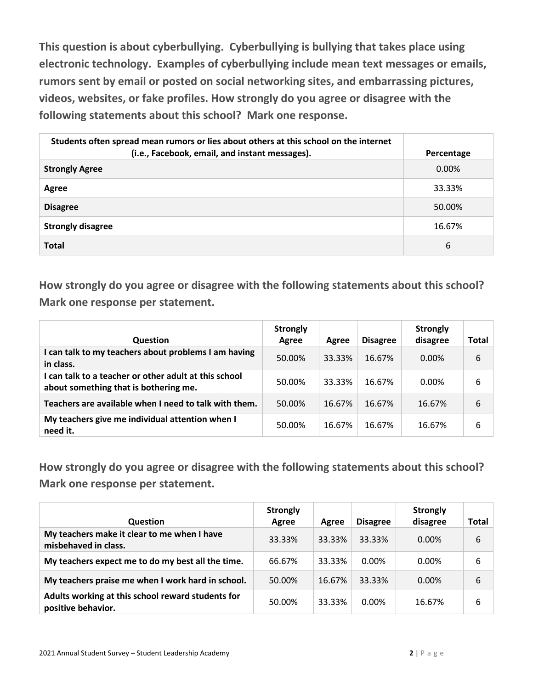**This question is about cyberbullying. Cyberbullying is bullying that takes place using electronic technology. Examples of cyberbullying include mean text messages or emails, rumors sent by email or posted on social networking sites, and embarrassing pictures, videos, websites, or fake profiles. How strongly do you agree or disagree with the following statements about this school? Mark one response.**

| Students often spread mean rumors or lies about others at this school on the internet<br>(i.e., Facebook, email, and instant messages). | Percentage |
|-----------------------------------------------------------------------------------------------------------------------------------------|------------|
| <b>Strongly Agree</b>                                                                                                                   | $0.00\%$   |
| Agree                                                                                                                                   | 33.33%     |
| <b>Disagree</b>                                                                                                                         | 50.00%     |
| <b>Strongly disagree</b>                                                                                                                | 16.67%     |
| <b>Total</b>                                                                                                                            | 6          |

**How strongly do you agree or disagree with the following statements about this school? Mark one response per statement.**

| <b>Question</b>                                                                                | <b>Strongly</b><br>Agree | Agree  | <b>Disagree</b> | <b>Strongly</b><br>disagree | Total |
|------------------------------------------------------------------------------------------------|--------------------------|--------|-----------------|-----------------------------|-------|
| I can talk to my teachers about problems I am having<br>in class.                              | 50.00%                   | 33.33% | 16.67%          | $0.00\%$                    | 6     |
| I can talk to a teacher or other adult at this school<br>about something that is bothering me. | 50.00%                   | 33.33% | 16.67%          | $0.00\%$                    | 6     |
| Teachers are available when I need to talk with them.                                          | 50.00%                   | 16.67% | 16.67%          | 16.67%                      | 6     |
| My teachers give me individual attention when I<br>need it.                                    | 50.00%                   | 16.67% | 16.67%          | 16.67%                      | 6     |

| <b>Question</b>                                                         | <b>Strongly</b><br>Agree | Agree  | <b>Disagree</b> | <b>Strongly</b><br>disagree | Total |
|-------------------------------------------------------------------------|--------------------------|--------|-----------------|-----------------------------|-------|
| My teachers make it clear to me when I have<br>misbehaved in class.     | 33.33%                   | 33.33% | 33.33%          | $0.00\%$                    | 6     |
| My teachers expect me to do my best all the time.                       | 66.67%                   | 33.33% | 0.00%           | $0.00\%$                    | 6     |
| My teachers praise me when I work hard in school.                       | 50.00%                   | 16.67% | 33.33%          | $0.00\%$                    | 6     |
| Adults working at this school reward students for<br>positive behavior. | 50.00%                   | 33.33% | 0.00%           | 16.67%                      | 6     |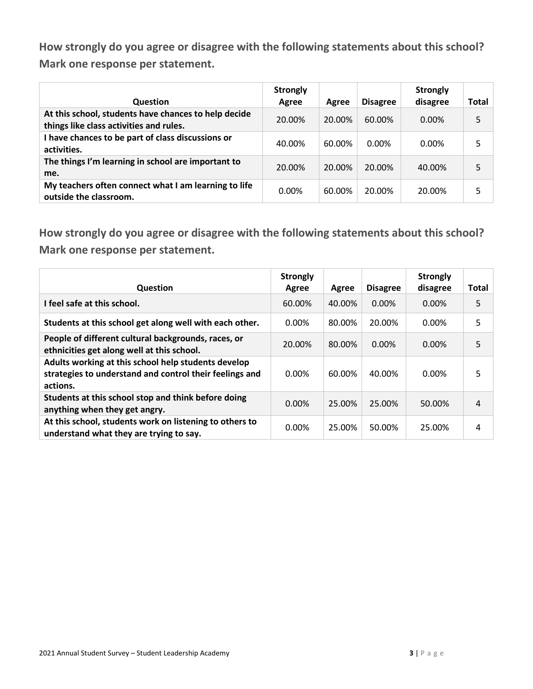| <b>Question</b>                                                                                 | <b>Strongly</b><br>Agree | Agree  | <b>Disagree</b> | <b>Strongly</b><br>disagree | Total |
|-------------------------------------------------------------------------------------------------|--------------------------|--------|-----------------|-----------------------------|-------|
| At this school, students have chances to help decide<br>things like class activities and rules. | 20.00%                   | 20.00% | 60.00%          | $0.00\%$                    | 5     |
| I have chances to be part of class discussions or<br>activities.                                | 40.00%                   | 60.00% | $0.00\%$        | $0.00\%$                    | 5     |
| The things I'm learning in school are important to<br>me.                                       | 20.00%                   | 20.00% | 20.00%          | 40.00%                      | 5     |
| My teachers often connect what I am learning to life<br>outside the classroom.                  | $0.00\%$                 | 60.00% | 20.00%          | 20.00%                      | 5     |

| <b>Question</b>                                                                                                            | <b>Strongly</b><br>Agree | Agree  | <b>Disagree</b> | <b>Strongly</b><br>disagree | <b>Total</b> |
|----------------------------------------------------------------------------------------------------------------------------|--------------------------|--------|-----------------|-----------------------------|--------------|
| I feel safe at this school.                                                                                                | 60.00%                   | 40.00% | 0.00%           | 0.00%                       | 5            |
| Students at this school get along well with each other.                                                                    | $0.00\%$                 | 80.00% | 20.00%          | 0.00%                       | 5            |
| People of different cultural backgrounds, races, or<br>ethnicities get along well at this school.                          | 20.00%                   | 80.00% | 0.00%           | 0.00%                       | 5            |
| Adults working at this school help students develop<br>strategies to understand and control their feelings and<br>actions. | 0.00%                    | 60.00% | 40.00%          | 0.00%                       | 5            |
| Students at this school stop and think before doing<br>anything when they get angry.                                       | 0.00%                    | 25.00% | 25.00%          | 50.00%                      | 4            |
| At this school, students work on listening to others to<br>understand what they are trying to say.                         | 0.00%                    | 25.00% | 50.00%          | 25.00%                      | 4            |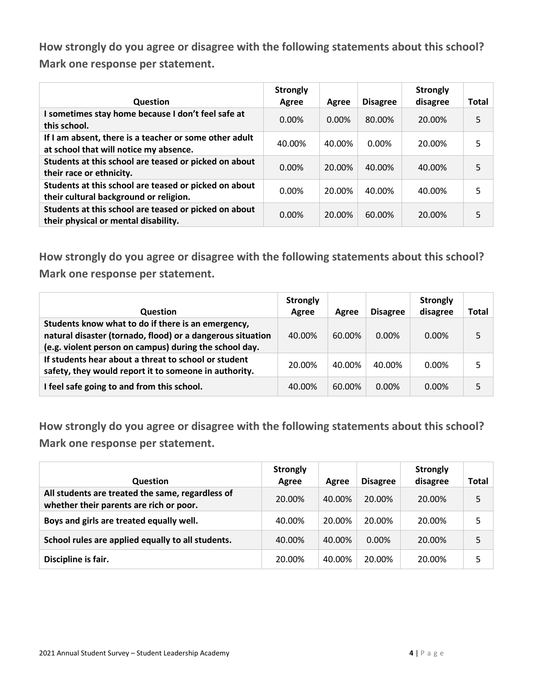| Question                                                                                         | <b>Strongly</b><br>Agree | Agree    | <b>Disagree</b> | <b>Strongly</b><br>disagree | <b>Total</b> |
|--------------------------------------------------------------------------------------------------|--------------------------|----------|-----------------|-----------------------------|--------------|
| I sometimes stay home because I don't feel safe at<br>this school.                               | $0.00\%$                 | $0.00\%$ | 80.00%          | 20.00%                      | 5            |
| If I am absent, there is a teacher or some other adult<br>at school that will notice my absence. | 40.00%                   | 40.00%   | 0.00%           | 20.00%                      | 5            |
| Students at this school are teased or picked on about<br>their race or ethnicity.                | 0.00%                    | 20.00%   | 40.00%          | 40.00%                      | 5            |
| Students at this school are teased or picked on about<br>their cultural background or religion.  | 0.00%                    | 20.00%   | 40.00%          | 40.00%                      | 5            |
| Students at this school are teased or picked on about<br>their physical or mental disability.    | $0.00\%$                 | 20.00%   | 60.00%          | 20.00%                      | 5            |

**How strongly do you agree or disagree with the following statements about this school? Mark one response per statement.**

| <b>Question</b>                                                                                                                                                            | <b>Strongly</b><br>Agree | Agree  | <b>Disagree</b> | <b>Strongly</b><br>disagree | Total |
|----------------------------------------------------------------------------------------------------------------------------------------------------------------------------|--------------------------|--------|-----------------|-----------------------------|-------|
| Students know what to do if there is an emergency,<br>natural disaster (tornado, flood) or a dangerous situation<br>(e.g. violent person on campus) during the school day. | 40.00%                   | 60.00% | $0.00\%$        | $0.00\%$                    |       |
| If students hear about a threat to school or student<br>safety, they would report it to someone in authority.                                                              | 20.00%                   | 40.00% | 40.00%          | $0.00\%$                    |       |
| I feel safe going to and from this school.                                                                                                                                 | 40.00%                   | 60.00% | $0.00\%$        | $0.00\%$                    |       |

| <b>Question</b>                                                                             | <b>Strongly</b><br>Agree | Agree  | <b>Disagree</b> | <b>Strongly</b><br>disagree | Total |
|---------------------------------------------------------------------------------------------|--------------------------|--------|-----------------|-----------------------------|-------|
| All students are treated the same, regardless of<br>whether their parents are rich or poor. | 20.00%                   | 40.00% | 20.00%          | 20.00%                      | 5     |
| Boys and girls are treated equally well.                                                    | 40.00%                   | 20.00% | 20.00%          | 20.00%                      | 5     |
| School rules are applied equally to all students.                                           | 40.00%                   | 40.00% | $0.00\%$        | 20.00%                      | 5     |
| Discipline is fair.                                                                         | 20.00%                   | 40.00% | 20.00%          | 20.00%                      |       |